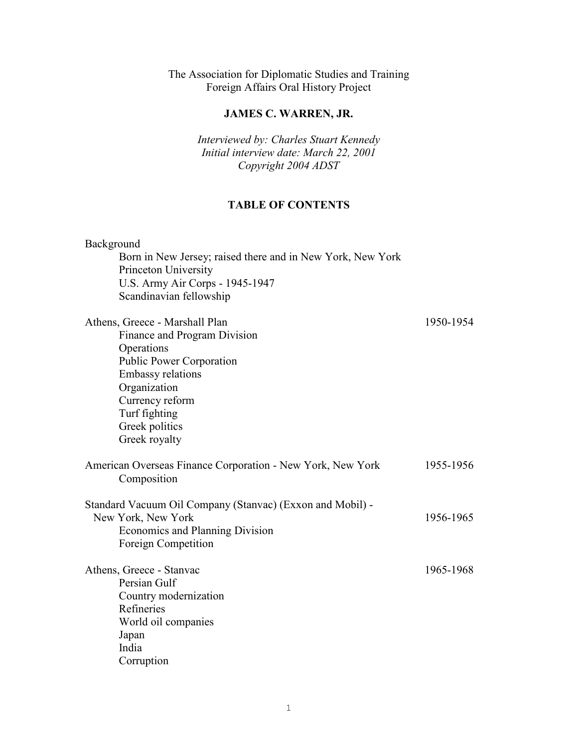The Association for Diplomatic Studies and Training Foreign Affairs Oral History Project

# **JAMES C. WARREN, JR.**

*Interviewed by: Charles Stuart Kennedy Initial interview date: March 22, 2001 Copyright 2004 ADST*

# **TABLE OF CONTENTS**

| Background<br>Born in New Jersey; raised there and in New York, New York<br>Princeton University<br>U.S. Army Air Corps - 1945-1947<br>Scandinavian fellowship                                                                     |           |
|------------------------------------------------------------------------------------------------------------------------------------------------------------------------------------------------------------------------------------|-----------|
| Athens, Greece - Marshall Plan<br>Finance and Program Division<br>Operations<br><b>Public Power Corporation</b><br><b>Embassy relations</b><br>Organization<br>Currency reform<br>Turf fighting<br>Greek politics<br>Greek royalty | 1950-1954 |
| American Overseas Finance Corporation - New York, New York<br>Composition                                                                                                                                                          | 1955-1956 |
| Standard Vacuum Oil Company (Stanvac) (Exxon and Mobil) -<br>New York, New York<br>Economics and Planning Division<br>Foreign Competition                                                                                          | 1956-1965 |
| Athens, Greece - Stanvac<br>Persian Gulf<br>Country modernization<br>Refineries<br>World oil companies<br>Japan<br>India<br>Corruption                                                                                             | 1965-1968 |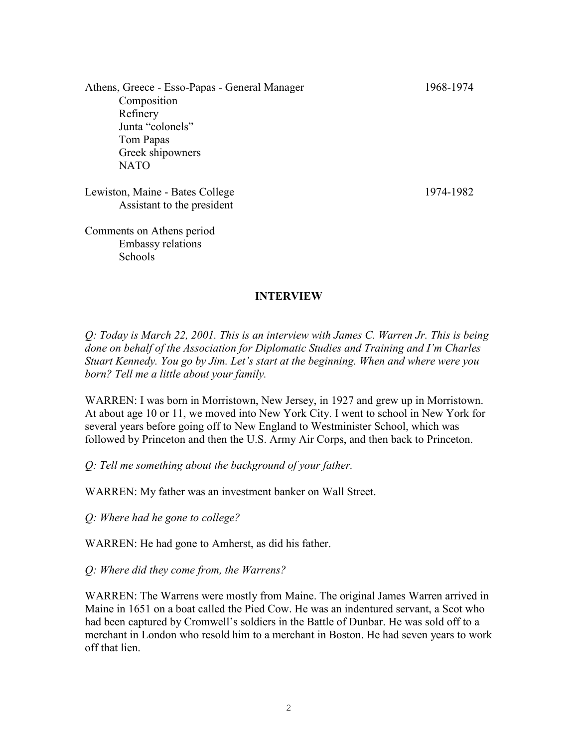Athens, Greece - Esso-Papas - General Manager 1968-1974 Composition Refinery Junta "colonels" Tom Papas Greek shipowners NATO

Lewiston, Maine - Bates College 1974-1982 Assistant to the president

Comments on Athens period Embassy relations Schools

#### **INTERVIEW**

*Q: Today is March 22, 2001. This is an interview with James C. Warren Jr. This is being done on behalf of the Association for Diplomatic Studies and Training and I'm Charles Stuart Kennedy. You go by Jim. Let's start at the beginning. When and where were you born? Tell me a little about your family.*

WARREN: I was born in Morristown, New Jersey, in 1927 and grew up in Morristown. At about age 10 or 11, we moved into New York City. I went to school in New York for several years before going off to New England to Westminister School, which was followed by Princeton and then the U.S. Army Air Corps, and then back to Princeton.

*Q: Tell me something about the background of your father.*

WARREN: My father was an investment banker on Wall Street.

*Q: Where had he gone to college?*

WARREN: He had gone to Amherst, as did his father.

*Q: Where did they come from, the Warrens?*

WARREN: The Warrens were mostly from Maine. The original James Warren arrived in Maine in 1651 on a boat called the Pied Cow. He was an indentured servant, a Scot who had been captured by Cromwell's soldiers in the Battle of Dunbar. He was sold off to a merchant in London who resold him to a merchant in Boston. He had seven years to work off that lien.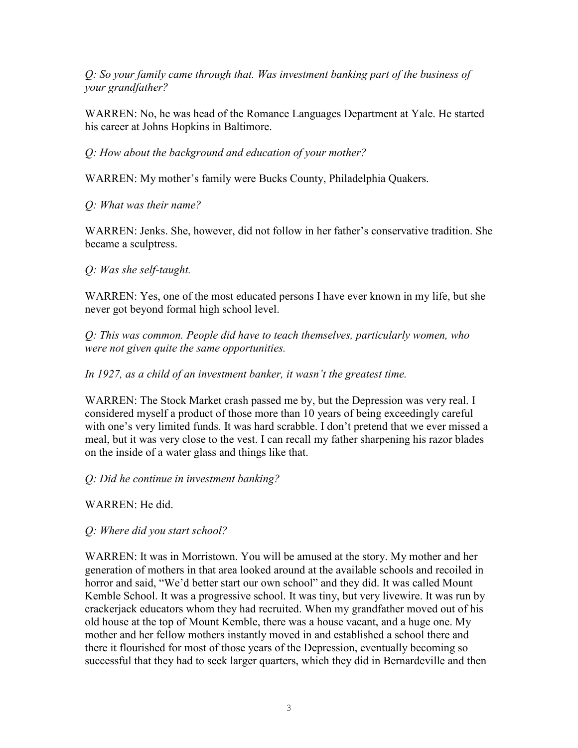*Q: So your family came through that. Was investment banking part of the business of your grandfather?* 

WARREN: No, he was head of the Romance Languages Department at Yale. He started his career at Johns Hopkins in Baltimore.

*Q: How about the background and education of your mother?*

WARREN: My mother's family were Bucks County, Philadelphia Quakers.

# *Q: What was their name?*

WARREN: Jenks. She, however, did not follow in her father's conservative tradition. She became a sculptress.

# *Q: Was she self-taught.*

WARREN: Yes, one of the most educated persons I have ever known in my life, but she never got beyond formal high school level.

*Q: This was common. People did have to teach themselves, particularly women, who were not given quite the same opportunities.* 

# *In 1927, as a child of an investment banker, it wasn't the greatest time.*

WARREN: The Stock Market crash passed me by, but the Depression was very real. I considered myself a product of those more than 10 years of being exceedingly careful with one's very limited funds. It was hard scrabble. I don't pretend that we ever missed a meal, but it was very close to the vest. I can recall my father sharpening his razor blades on the inside of a water glass and things like that.

# *Q: Did he continue in investment banking?*

WARREN: He did.

# *Q: Where did you start school?*

WARREN: It was in Morristown. You will be amused at the story. My mother and her generation of mothers in that area looked around at the available schools and recoiled in horror and said, "We'd better start our own school" and they did. It was called Mount Kemble School. It was a progressive school. It was tiny, but very livewire. It was run by crackerjack educators whom they had recruited. When my grandfather moved out of his old house at the top of Mount Kemble, there was a house vacant, and a huge one. My mother and her fellow mothers instantly moved in and established a school there and there it flourished for most of those years of the Depression, eventually becoming so successful that they had to seek larger quarters, which they did in Bernardeville and then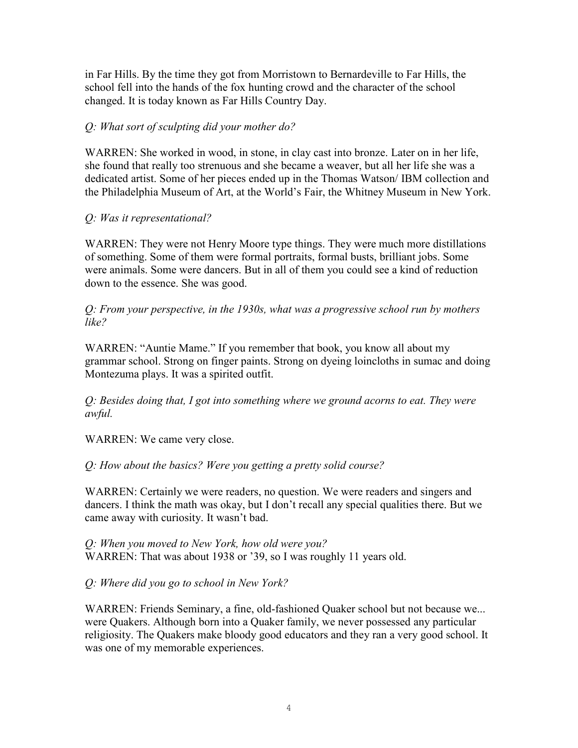in Far Hills. By the time they got from Morristown to Bernardeville to Far Hills, the school fell into the hands of the fox hunting crowd and the character of the school changed. It is today known as Far Hills Country Day.

# *Q: What sort of sculpting did your mother do?*

WARREN: She worked in wood, in stone, in clay cast into bronze. Later on in her life, she found that really too strenuous and she became a weaver, but all her life she was a dedicated artist. Some of her pieces ended up in the Thomas Watson/ IBM collection and the Philadelphia Museum of Art, at the World's Fair, the Whitney Museum in New York.

## *Q: Was it representational?*

WARREN: They were not Henry Moore type things. They were much more distillations of something. Some of them were formal portraits, formal busts, brilliant jobs. Some were animals. Some were dancers. But in all of them you could see a kind of reduction down to the essence. She was good.

*Q: From your perspective, in the 1930s, what was a progressive school run by mothers like?*

WARREN: "Auntie Mame." If you remember that book, you know all about my grammar school. Strong on finger paints. Strong on dyeing loincloths in sumac and doing Montezuma plays. It was a spirited outfit.

*Q: Besides doing that, I got into something where we ground acorns to eat. They were awful.* 

WARREN: We came very close.

*Q: How about the basics? Were you getting a pretty solid course?* 

WARREN: Certainly we were readers, no question. We were readers and singers and dancers. I think the math was okay, but I don't recall any special qualities there. But we came away with curiosity. It wasn't bad.

*Q: When you moved to New York, how old were you?* WARREN: That was about 1938 or '39, so I was roughly 11 years old.

# *Q: Where did you go to school in New York?*

WARREN: Friends Seminary, a fine, old-fashioned Quaker school but not because we... were Quakers. Although born into a Quaker family, we never possessed any particular religiosity. The Quakers make bloody good educators and they ran a very good school. It was one of my memorable experiences.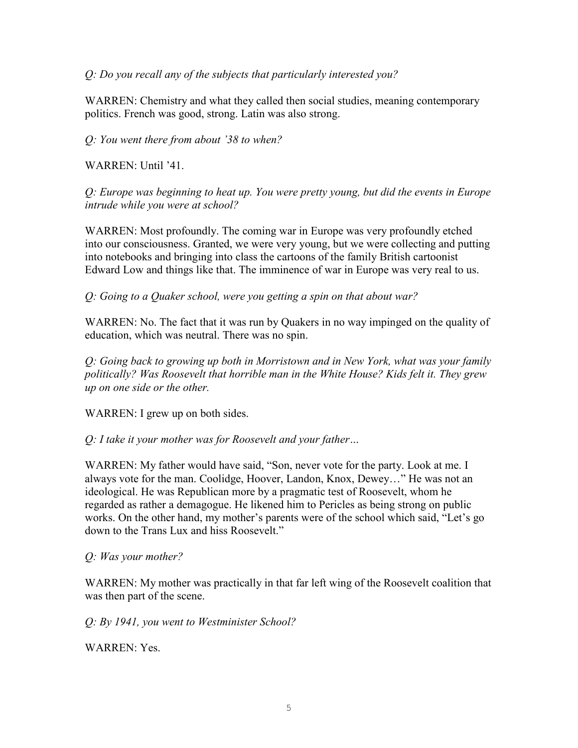## *Q: Do you recall any of the subjects that particularly interested you?*

WARREN: Chemistry and what they called then social studies, meaning contemporary politics. French was good, strong. Latin was also strong.

*Q: You went there from about '38 to when?*

WARREN: Until '41.

*Q: Europe was beginning to heat up. You were pretty young, but did the events in Europe intrude while you were at school?* 

WARREN: Most profoundly. The coming war in Europe was very profoundly etched into our consciousness. Granted, we were very young, but we were collecting and putting into notebooks and bringing into class the cartoons of the family British cartoonist Edward Low and things like that. The imminence of war in Europe was very real to us.

*Q: Going to a Quaker school, were you getting a spin on that about war?*

WARREN: No. The fact that it was run by Quakers in no way impinged on the quality of education, which was neutral. There was no spin.

*Q: Going back to growing up both in Morristown and in New York, what was your family politically? Was Roosevelt that horrible man in the White House? Kids felt it. They grew up on one side or the other.* 

WARREN: I grew up on both sides.

# *Q: I take it your mother was for Roosevelt and your father…*

WARREN: My father would have said, "Son, never vote for the party. Look at me. I always vote for the man. Coolidge, Hoover, Landon, Knox, Dewey…" He was not an ideological. He was Republican more by a pragmatic test of Roosevelt, whom he regarded as rather a demagogue. He likened him to Pericles as being strong on public works. On the other hand, my mother's parents were of the school which said, "Let's go down to the Trans Lux and hiss Roosevelt."

#### *Q: Was your mother?*

WARREN: My mother was practically in that far left wing of the Roosevelt coalition that was then part of the scene.

*Q: By 1941, you went to Westminister School?*

WARREN: Yes.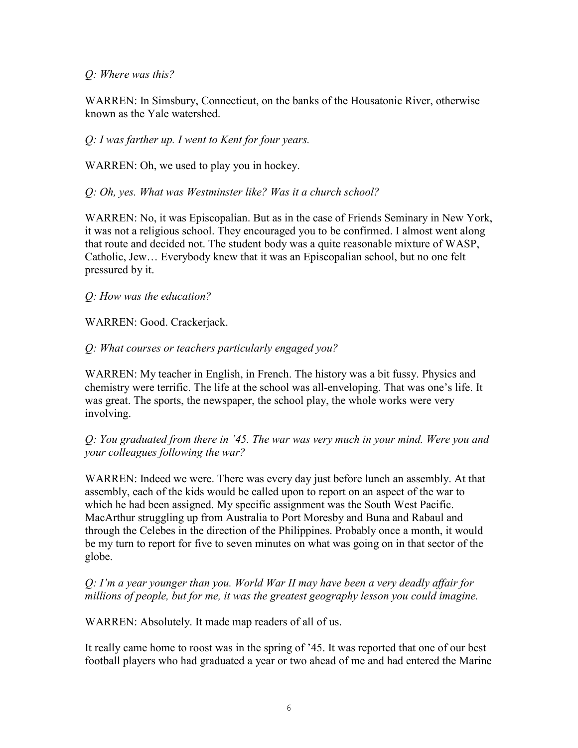## *Q: Where was this?*

WARREN: In Simsbury, Connecticut, on the banks of the Housatonic River, otherwise known as the Yale watershed.

*Q: I was farther up. I went to Kent for four years.*

WARREN: Oh, we used to play you in hockey.

*Q: Oh, yes. What was Westminster like? Was it a church school?* 

WARREN: No, it was Episcopalian. But as in the case of Friends Seminary in New York, it was not a religious school. They encouraged you to be confirmed. I almost went along that route and decided not. The student body was a quite reasonable mixture of WASP, Catholic, Jew… Everybody knew that it was an Episcopalian school, but no one felt pressured by it.

*Q: How was the education?*

WARREN: Good. Crackerjack.

## *Q: What courses or teachers particularly engaged you?*

WARREN: My teacher in English, in French. The history was a bit fussy. Physics and chemistry were terrific. The life at the school was all-enveloping. That was one's life. It was great. The sports, the newspaper, the school play, the whole works were very involving.

*Q: You graduated from there in '45. The war was very much in your mind. Were you and your colleagues following the war?* 

WARREN: Indeed we were. There was every day just before lunch an assembly. At that assembly, each of the kids would be called upon to report on an aspect of the war to which he had been assigned. My specific assignment was the South West Pacific. MacArthur struggling up from Australia to Port Moresby and Buna and Rabaul and through the Celebes in the direction of the Philippines. Probably once a month, it would be my turn to report for five to seven minutes on what was going on in that sector of the globe.

*Q: I'm a year younger than you. World War II may have been a very deadly affair for millions of people, but for me, it was the greatest geography lesson you could imagine.* 

WARREN: Absolutely. It made map readers of all of us.

It really came home to roost was in the spring of '45. It was reported that one of our best football players who had graduated a year or two ahead of me and had entered the Marine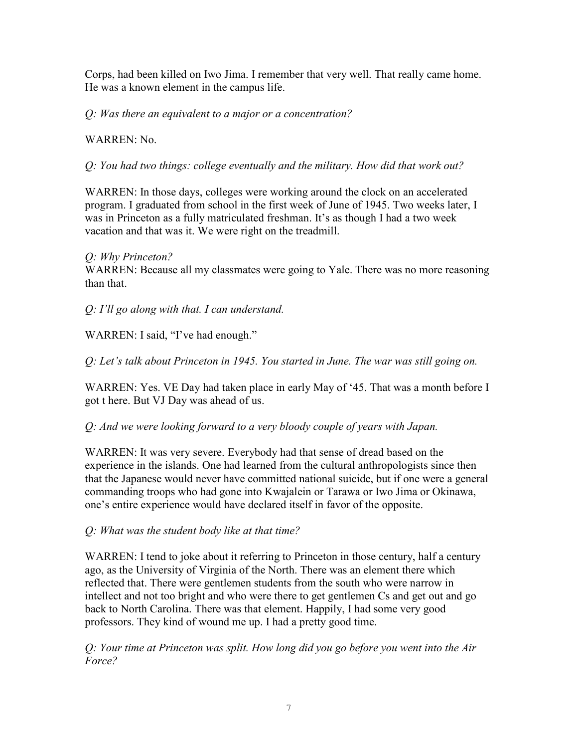Corps, had been killed on Iwo Jima. I remember that very well. That really came home. He was a known element in the campus life.

*Q: Was there an equivalent to a major or a concentration?*

WARREN: No.

*Q: You had two things: college eventually and the military. How did that work out?* 

WARREN: In those days, colleges were working around the clock on an accelerated program. I graduated from school in the first week of June of 1945. Two weeks later, I was in Princeton as a fully matriculated freshman. It's as though I had a two week vacation and that was it. We were right on the treadmill.

# *Q: Why Princeton?*

WARREN: Because all my classmates were going to Yale. There was no more reasoning than that.

*Q: I'll go along with that. I can understand.* 

WARREN: I said, "I've had enough."

*Q: Let's talk about Princeton in 1945. You started in June. The war was still going on.* 

WARREN: Yes. VE Day had taken place in early May of '45. That was a month before I got t here. But VJ Day was ahead of us.

*Q: And we were looking forward to a very bloody couple of years with Japan.*

WARREN: It was very severe. Everybody had that sense of dread based on the experience in the islands. One had learned from the cultural anthropologists since then that the Japanese would never have committed national suicide, but if one were a general commanding troops who had gone into Kwajalein or Tarawa or Iwo Jima or Okinawa, one's entire experience would have declared itself in favor of the opposite.

*Q: What was the student body like at that time?*

WARREN: I tend to joke about it referring to Princeton in those century, half a century ago, as the University of Virginia of the North. There was an element there which reflected that. There were gentlemen students from the south who were narrow in intellect and not too bright and who were there to get gentlemen Cs and get out and go back to North Carolina. There was that element. Happily, I had some very good professors. They kind of wound me up. I had a pretty good time.

*Q: Your time at Princeton was split. How long did you go before you went into the Air Force?*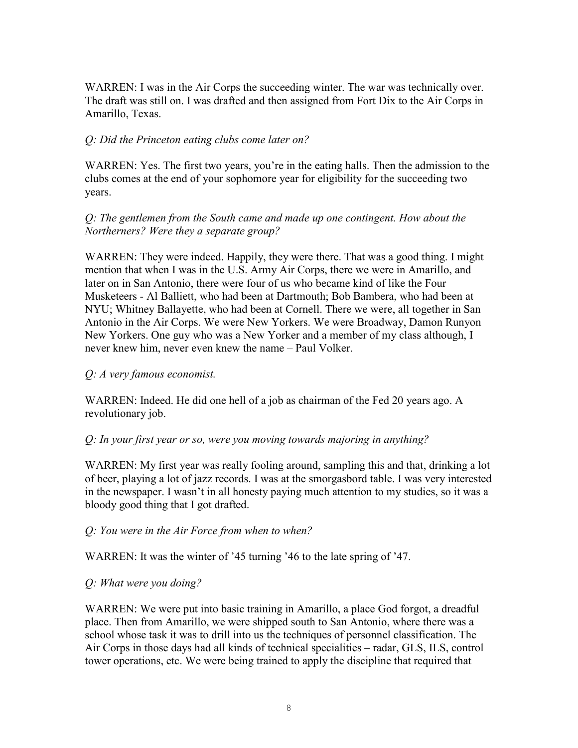WARREN: I was in the Air Corps the succeeding winter. The war was technically over. The draft was still on. I was drafted and then assigned from Fort Dix to the Air Corps in Amarillo, Texas.

# *Q: Did the Princeton eating clubs come later on?*

WARREN: Yes. The first two years, you're in the eating halls. Then the admission to the clubs comes at the end of your sophomore year for eligibility for the succeeding two years.

## *Q: The gentlemen from the South came and made up one contingent. How about the Northerners? Were they a separate group?*

WARREN: They were indeed. Happily, they were there. That was a good thing. I might mention that when I was in the U.S. Army Air Corps, there we were in Amarillo, and later on in San Antonio, there were four of us who became kind of like the Four Musketeers - Al Balliett, who had been at Dartmouth; Bob Bambera, who had been at NYU; Whitney Ballayette, who had been at Cornell. There we were, all together in San Antonio in the Air Corps. We were New Yorkers. We were Broadway, Damon Runyon New Yorkers. One guy who was a New Yorker and a member of my class although, I never knew him, never even knew the name – Paul Volker.

### *Q: A very famous economist.*

WARREN: Indeed. He did one hell of a job as chairman of the Fed 20 years ago. A revolutionary job.

#### *Q: In your first year or so, were you moving towards majoring in anything?*

WARREN: My first year was really fooling around, sampling this and that, drinking a lot of beer, playing a lot of jazz records. I was at the smorgasbord table. I was very interested in the newspaper. I wasn't in all honesty paying much attention to my studies, so it was a bloody good thing that I got drafted.

#### *Q: You were in the Air Force from when to when?*

WARREN: It was the winter of '45 turning '46 to the late spring of '47.

#### *Q: What were you doing?*

WARREN: We were put into basic training in Amarillo, a place God forgot, a dreadful place. Then from Amarillo, we were shipped south to San Antonio, where there was a school whose task it was to drill into us the techniques of personnel classification. The Air Corps in those days had all kinds of technical specialities – radar, GLS, ILS, control tower operations, etc. We were being trained to apply the discipline that required that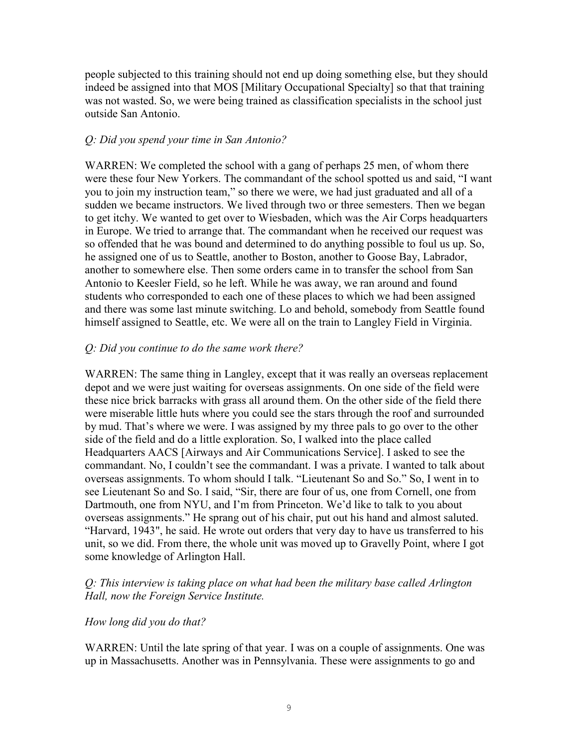people subjected to this training should not end up doing something else, but they should indeed be assigned into that MOS [Military Occupational Specialty] so that that training was not wasted. So, we were being trained as classification specialists in the school just outside San Antonio.

## *Q: Did you spend your time in San Antonio?*

WARREN: We completed the school with a gang of perhaps 25 men, of whom there were these four New Yorkers. The commandant of the school spotted us and said, "I want you to join my instruction team," so there we were, we had just graduated and all of a sudden we became instructors. We lived through two or three semesters. Then we began to get itchy. We wanted to get over to Wiesbaden, which was the Air Corps headquarters in Europe. We tried to arrange that. The commandant when he received our request was so offended that he was bound and determined to do anything possible to foul us up. So, he assigned one of us to Seattle, another to Boston, another to Goose Bay, Labrador, another to somewhere else. Then some orders came in to transfer the school from San Antonio to Keesler Field, so he left. While he was away, we ran around and found students who corresponded to each one of these places to which we had been assigned and there was some last minute switching. Lo and behold, somebody from Seattle found himself assigned to Seattle, etc. We were all on the train to Langley Field in Virginia.

## *Q: Did you continue to do the same work there?*

WARREN: The same thing in Langley, except that it was really an overseas replacement depot and we were just waiting for overseas assignments. On one side of the field were these nice brick barracks with grass all around them. On the other side of the field there were miserable little huts where you could see the stars through the roof and surrounded by mud. That's where we were. I was assigned by my three pals to go over to the other side of the field and do a little exploration. So, I walked into the place called Headquarters AACS [Airways and Air Communications Service]. I asked to see the commandant. No, I couldn't see the commandant. I was a private. I wanted to talk about overseas assignments. To whom should I talk. "Lieutenant So and So." So, I went in to see Lieutenant So and So. I said, "Sir, there are four of us, one from Cornell, one from Dartmouth, one from NYU, and I'm from Princeton. We'd like to talk to you about overseas assignments." He sprang out of his chair, put out his hand and almost saluted. "Harvard, 1943", he said. He wrote out orders that very day to have us transferred to his unit, so we did. From there, the whole unit was moved up to Gravelly Point, where I got some knowledge of Arlington Hall.

## *Q: This interview is taking place on what had been the military base called Arlington Hall, now the Foreign Service Institute.*

# *How long did you do that?*

WARREN: Until the late spring of that year. I was on a couple of assignments. One was up in Massachusetts. Another was in Pennsylvania. These were assignments to go and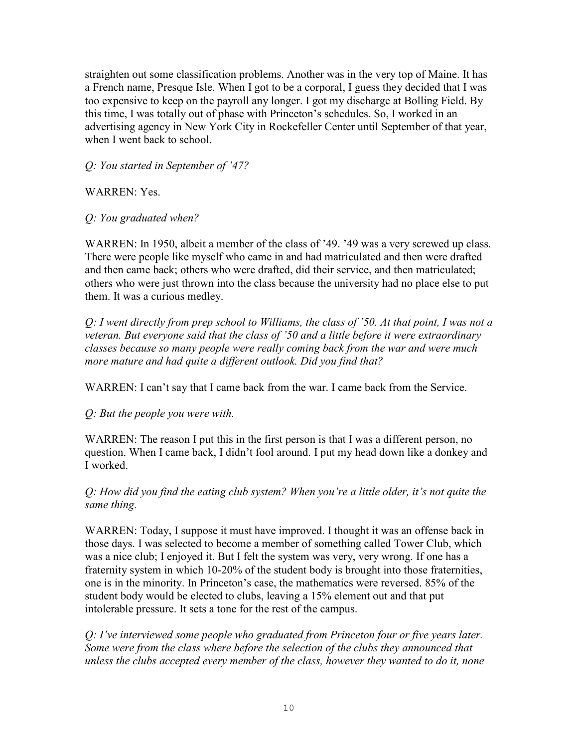straighten out some classification problems. Another was in the very top of Maine. It has a French name, Presque Isle. When I got to be a corporal, I guess they decided that I was too expensive to keep on the payroll any longer. I got my discharge at Bolling Field. By this time, I was totally out of phase with Princeton's schedules. So, I worked in an advertising agency in New York City in Rockefeller Center until September of that year, when I went back to school.

*Q: You started in September of '47?*

WARREN: Yes.

*Q: You graduated when?*

WARREN: In 1950, albeit a member of the class of '49. '49 was a very screwed up class. There were people like myself who came in and had matriculated and then were drafted and then came back; others who were drafted, did their service, and then matriculated; others who were just thrown into the class because the university had no place else to put them. It was a curious medley.

*Q: I went directly from prep school to Williams, the class of '50. At that point, I was not a veteran. But everyone said that the class of '50 and a little before it were extraordinary classes because so many people were really coming back from the war and were much more mature and had quite a different outlook. Did you find that?* 

WARREN: I can't say that I came back from the war. I came back from the Service.

*Q: But the people you were with.*

WARREN: The reason I put this in the first person is that I was a different person, no question. When I came back, I didn't fool around. I put my head down like a donkey and I worked.

*Q: How did you find the eating club system? When you're a little older, it's not quite the same thing.* 

WARREN: Today, I suppose it must have improved. I thought it was an offense back in those days. I was selected to become a member of something called Tower Club, which was a nice club; I enjoyed it. But I felt the system was very, very wrong. If one has a fraternity system in which 10-20% of the student body is brought into those fraternities, one is in the minority. In Princeton's case, the mathematics were reversed. 85% of the student body would be elected to clubs, leaving a 15% element out and that put intolerable pressure. It sets a tone for the rest of the campus.

*Q: I've interviewed some people who graduated from Princeton four or five years later. Some were from the class where before the selection of the clubs they announced that unless the clubs accepted every member of the class, however they wanted to do it, none*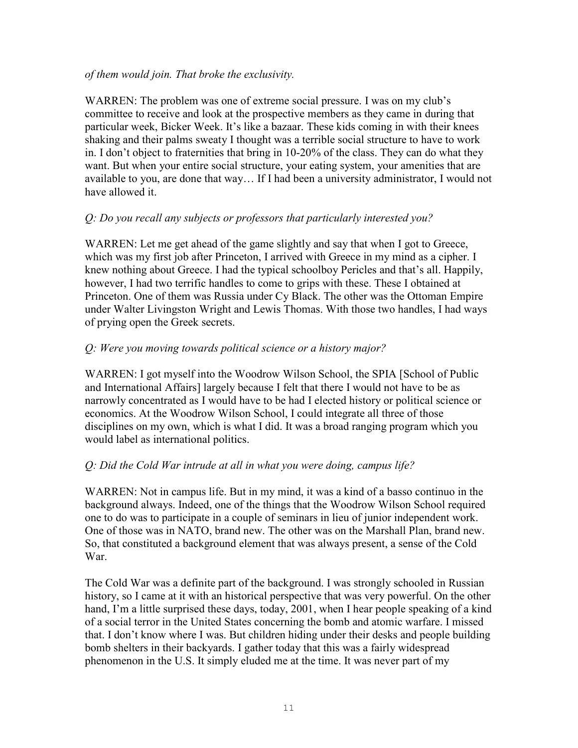### *of them would join. That broke the exclusivity.*

WARREN: The problem was one of extreme social pressure. I was on my club's committee to receive and look at the prospective members as they came in during that particular week, Bicker Week. It's like a bazaar. These kids coming in with their knees shaking and their palms sweaty I thought was a terrible social structure to have to work in. I don't object to fraternities that bring in 10-20% of the class. They can do what they want. But when your entire social structure, your eating system, your amenities that are available to you, are done that way… If I had been a university administrator, I would not have allowed it.

# *Q: Do you recall any subjects or professors that particularly interested you?*

WARREN: Let me get ahead of the game slightly and say that when I got to Greece, which was my first job after Princeton, I arrived with Greece in my mind as a cipher. I knew nothing about Greece. I had the typical schoolboy Pericles and that's all. Happily, however, I had two terrific handles to come to grips with these. These I obtained at Princeton. One of them was Russia under Cy Black. The other was the Ottoman Empire under Walter Livingston Wright and Lewis Thomas. With those two handles, I had ways of prying open the Greek secrets.

# *Q: Were you moving towards political science or a history major?*

WARREN: I got myself into the Woodrow Wilson School, the SPIA [School of Public and International Affairs] largely because I felt that there I would not have to be as narrowly concentrated as I would have to be had I elected history or political science or economics. At the Woodrow Wilson School, I could integrate all three of those disciplines on my own, which is what I did. It was a broad ranging program which you would label as international politics.

# *Q: Did the Cold War intrude at all in what you were doing, campus life?*

WARREN: Not in campus life. But in my mind, it was a kind of a basso continuo in the background always. Indeed, one of the things that the Woodrow Wilson School required one to do was to participate in a couple of seminars in lieu of junior independent work. One of those was in NATO, brand new. The other was on the Marshall Plan, brand new. So, that constituted a background element that was always present, a sense of the Cold War.

The Cold War was a definite part of the background. I was strongly schooled in Russian history, so I came at it with an historical perspective that was very powerful. On the other hand, I'm a little surprised these days, today, 2001, when I hear people speaking of a kind of a social terror in the United States concerning the bomb and atomic warfare. I missed that. I don't know where I was. But children hiding under their desks and people building bomb shelters in their backyards. I gather today that this was a fairly widespread phenomenon in the U.S. It simply eluded me at the time. It was never part of my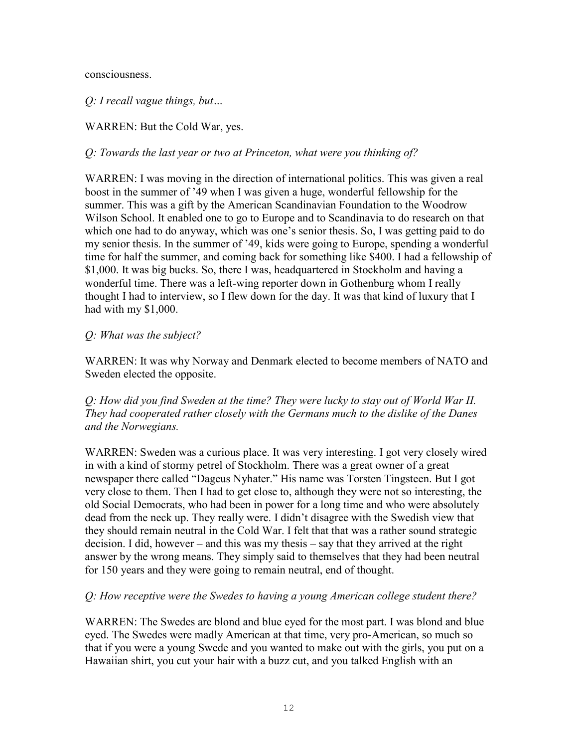consciousness.

*Q: I recall vague things, but…*

WARREN: But the Cold War, yes.

*Q: Towards the last year or two at Princeton, what were you thinking of?*

WARREN: I was moving in the direction of international politics. This was given a real boost in the summer of '49 when I was given a huge, wonderful fellowship for the summer. This was a gift by the American Scandinavian Foundation to the Woodrow Wilson School. It enabled one to go to Europe and to Scandinavia to do research on that which one had to do anyway, which was one's senior thesis. So, I was getting paid to do my senior thesis. In the summer of '49, kids were going to Europe, spending a wonderful time for half the summer, and coming back for something like \$400. I had a fellowship of \$1,000. It was big bucks. So, there I was, headquartered in Stockholm and having a wonderful time. There was a left-wing reporter down in Gothenburg whom I really thought I had to interview, so I flew down for the day. It was that kind of luxury that I had with my \$1,000.

## *Q: What was the subject?*

WARREN: It was why Norway and Denmark elected to become members of NATO and Sweden elected the opposite.

*Q: How did you find Sweden at the time? They were lucky to stay out of World War II. They had cooperated rather closely with the Germans much to the dislike of the Danes and the Norwegians.*

WARREN: Sweden was a curious place. It was very interesting. I got very closely wired in with a kind of stormy petrel of Stockholm. There was a great owner of a great newspaper there called "Dageus Nyhater." His name was Torsten Tingsteen. But I got very close to them. Then I had to get close to, although they were not so interesting, the old Social Democrats, who had been in power for a long time and who were absolutely dead from the neck up. They really were. I didn't disagree with the Swedish view that they should remain neutral in the Cold War. I felt that that was a rather sound strategic decision. I did, however – and this was my thesis – say that they arrived at the right answer by the wrong means. They simply said to themselves that they had been neutral for 150 years and they were going to remain neutral, end of thought.

# *Q: How receptive were the Swedes to having a young American college student there?*

WARREN: The Swedes are blond and blue eyed for the most part. I was blond and blue eyed. The Swedes were madly American at that time, very pro-American, so much so that if you were a young Swede and you wanted to make out with the girls, you put on a Hawaiian shirt, you cut your hair with a buzz cut, and you talked English with an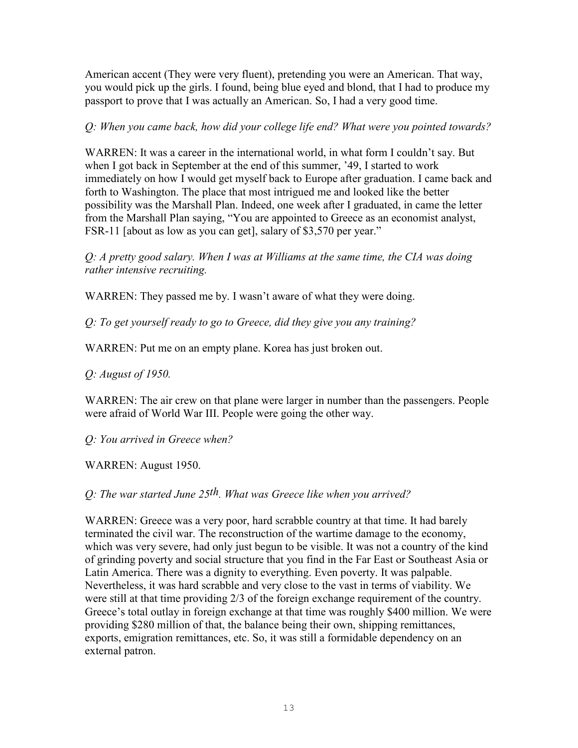American accent (They were very fluent), pretending you were an American. That way, you would pick up the girls. I found, being blue eyed and blond, that I had to produce my passport to prove that I was actually an American. So, I had a very good time.

*Q: When you came back, how did your college life end? What were you pointed towards?* 

WARREN: It was a career in the international world, in what form I couldn't say. But when I got back in September at the end of this summer, '49, I started to work immediately on how I would get myself back to Europe after graduation. I came back and forth to Washington. The place that most intrigued me and looked like the better possibility was the Marshall Plan. Indeed, one week after I graduated, in came the letter from the Marshall Plan saying, "You are appointed to Greece as an economist analyst, FSR-11 [about as low as you can get], salary of \$3,570 per year."

*Q: A pretty good salary. When I was at Williams at the same time, the CIA was doing rather intensive recruiting.* 

WARREN: They passed me by. I wasn't aware of what they were doing.

*Q: To get yourself ready to go to Greece, did they give you any training?*

WARREN: Put me on an empty plane. Korea has just broken out.

*Q: August of 1950.*

WARREN: The air crew on that plane were larger in number than the passengers. People were afraid of World War III. People were going the other way.

*Q: You arrived in Greece when?*

WARREN: August 1950.

*Q: The war started June 25th. What was Greece like when you arrived?* 

WARREN: Greece was a very poor, hard scrabble country at that time. It had barely terminated the civil war. The reconstruction of the wartime damage to the economy, which was very severe, had only just begun to be visible. It was not a country of the kind of grinding poverty and social structure that you find in the Far East or Southeast Asia or Latin America. There was a dignity to everything. Even poverty. It was palpable. Nevertheless, it was hard scrabble and very close to the vast in terms of viability. We were still at that time providing 2/3 of the foreign exchange requirement of the country. Greece's total outlay in foreign exchange at that time was roughly \$400 million. We were providing \$280 million of that, the balance being their own, shipping remittances, exports, emigration remittances, etc. So, it was still a formidable dependency on an external patron.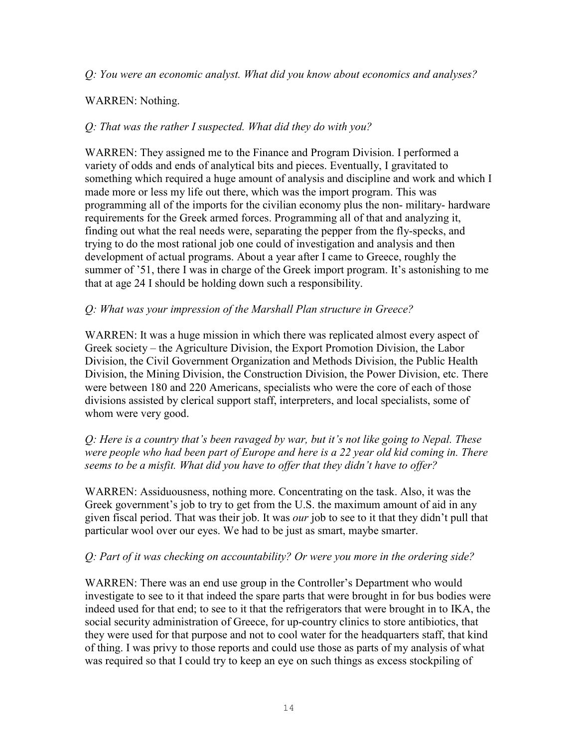## *Q: You were an economic analyst. What did you know about economics and analyses?*

# WARREN: Nothing.

# *Q: That was the rather I suspected. What did they do with you?*

WARREN: They assigned me to the Finance and Program Division. I performed a variety of odds and ends of analytical bits and pieces. Eventually, I gravitated to something which required a huge amount of analysis and discipline and work and which I made more or less my life out there, which was the import program. This was programming all of the imports for the civilian economy plus the non- military- hardware requirements for the Greek armed forces. Programming all of that and analyzing it, finding out what the real needs were, separating the pepper from the fly-specks, and trying to do the most rational job one could of investigation and analysis and then development of actual programs. About a year after I came to Greece, roughly the summer of '51, there I was in charge of the Greek import program. It's astonishing to me that at age 24 I should be holding down such a responsibility.

# *Q: What was your impression of the Marshall Plan structure in Greece?*

WARREN: It was a huge mission in which there was replicated almost every aspect of Greek society – the Agriculture Division, the Export Promotion Division, the Labor Division, the Civil Government Organization and Methods Division, the Public Health Division, the Mining Division, the Construction Division, the Power Division, etc. There were between 180 and 220 Americans, specialists who were the core of each of those divisions assisted by clerical support staff, interpreters, and local specialists, some of whom were very good.

## *Q: Here is a country that's been ravaged by war, but it's not like going to Nepal. These were people who had been part of Europe and here is a 22 year old kid coming in. There seems to be a misfit. What did you have to offer that they didn't have to offer?*

WARREN: Assiduousness, nothing more. Concentrating on the task. Also, it was the Greek government's job to try to get from the U.S. the maximum amount of aid in any given fiscal period. That was their job. It was *our* job to see to it that they didn't pull that particular wool over our eyes. We had to be just as smart, maybe smarter.

# *Q: Part of it was checking on accountability? Or were you more in the ordering side?*

WARREN: There was an end use group in the Controller's Department who would investigate to see to it that indeed the spare parts that were brought in for bus bodies were indeed used for that end; to see to it that the refrigerators that were brought in to IKA, the social security administration of Greece, for up-country clinics to store antibiotics, that they were used for that purpose and not to cool water for the headquarters staff, that kind of thing. I was privy to those reports and could use those as parts of my analysis of what was required so that I could try to keep an eye on such things as excess stockpiling of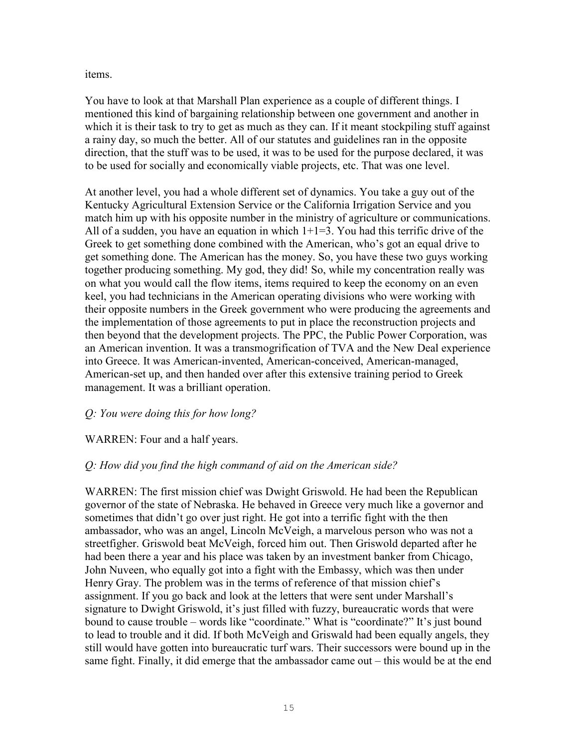items.

You have to look at that Marshall Plan experience as a couple of different things. I mentioned this kind of bargaining relationship between one government and another in which it is their task to try to get as much as they can. If it meant stockpiling stuff against a rainy day, so much the better. All of our statutes and guidelines ran in the opposite direction, that the stuff was to be used, it was to be used for the purpose declared, it was to be used for socially and economically viable projects, etc. That was one level.

At another level, you had a whole different set of dynamics. You take a guy out of the Kentucky Agricultural Extension Service or the California Irrigation Service and you match him up with his opposite number in the ministry of agriculture or communications. All of a sudden, you have an equation in which  $1+1=3$ . You had this terrific drive of the Greek to get something done combined with the American, who's got an equal drive to get something done. The American has the money. So, you have these two guys working together producing something. My god, they did! So, while my concentration really was on what you would call the flow items, items required to keep the economy on an even keel, you had technicians in the American operating divisions who were working with their opposite numbers in the Greek government who were producing the agreements and the implementation of those agreements to put in place the reconstruction projects and then beyond that the development projects. The PPC, the Public Power Corporation, was an American invention. It was a transmogrification of TVA and the New Deal experience into Greece. It was American-invented, American-conceived, American-managed, American-set up, and then handed over after this extensive training period to Greek management. It was a brilliant operation.

# *Q: You were doing this for how long?*

# WARREN: Four and a half years.

# *Q: How did you find the high command of aid on the American side?*

WARREN: The first mission chief was Dwight Griswold. He had been the Republican governor of the state of Nebraska. He behaved in Greece very much like a governor and sometimes that didn't go over just right. He got into a terrific fight with the then ambassador, who was an angel, Lincoln McVeigh, a marvelous person who was not a streetfigher. Griswold beat McVeigh, forced him out. Then Griswold departed after he had been there a year and his place was taken by an investment banker from Chicago, John Nuveen, who equally got into a fight with the Embassy, which was then under Henry Gray. The problem was in the terms of reference of that mission chief's assignment. If you go back and look at the letters that were sent under Marshall's signature to Dwight Griswold, it's just filled with fuzzy, bureaucratic words that were bound to cause trouble – words like "coordinate." What is "coordinate?" It's just bound to lead to trouble and it did. If both McVeigh and Griswald had been equally angels, they still would have gotten into bureaucratic turf wars. Their successors were bound up in the same fight. Finally, it did emerge that the ambassador came out – this would be at the end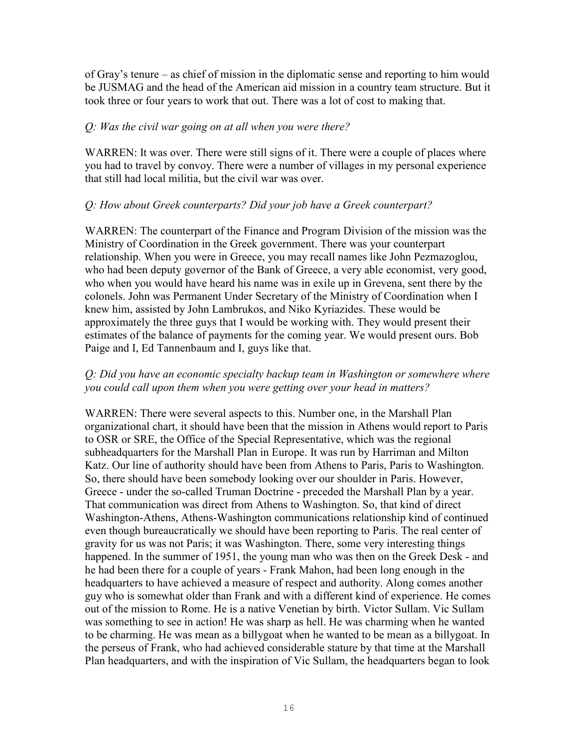of Gray's tenure – as chief of mission in the diplomatic sense and reporting to him would be JUSMAG and the head of the American aid mission in a country team structure. But it took three or four years to work that out. There was a lot of cost to making that.

## *Q: Was the civil war going on at all when you were there?*

WARREN: It was over. There were still signs of it. There were a couple of places where you had to travel by convoy. There were a number of villages in my personal experience that still had local militia, but the civil war was over.

## *Q: How about Greek counterparts? Did your job have a Greek counterpart?*

WARREN: The counterpart of the Finance and Program Division of the mission was the Ministry of Coordination in the Greek government. There was your counterpart relationship. When you were in Greece, you may recall names like John Pezmazoglou, who had been deputy governor of the Bank of Greece, a very able economist, very good, who when you would have heard his name was in exile up in Grevena, sent there by the colonels. John was Permanent Under Secretary of the Ministry of Coordination when I knew him, assisted by John Lambrukos, and Niko Kyriazides. These would be approximately the three guys that I would be working with. They would present their estimates of the balance of payments for the coming year. We would present ours. Bob Paige and I, Ed Tannenbaum and I, guys like that.

## *Q: Did you have an economic specialty backup team in Washington or somewhere where you could call upon them when you were getting over your head in matters?*

WARREN: There were several aspects to this. Number one, in the Marshall Plan organizational chart, it should have been that the mission in Athens would report to Paris to OSR or SRE, the Office of the Special Representative, which was the regional subheadquarters for the Marshall Plan in Europe. It was run by Harriman and Milton Katz. Our line of authority should have been from Athens to Paris, Paris to Washington. So, there should have been somebody looking over our shoulder in Paris. However, Greece - under the so-called Truman Doctrine - preceded the Marshall Plan by a year. That communication was direct from Athens to Washington. So, that kind of direct Washington-Athens, Athens-Washington communications relationship kind of continued even though bureaucratically we should have been reporting to Paris. The real center of gravity for us was not Paris; it was Washington. There, some very interesting things happened. In the summer of 1951, the young man who was then on the Greek Desk - and he had been there for a couple of years - Frank Mahon, had been long enough in the headquarters to have achieved a measure of respect and authority. Along comes another guy who is somewhat older than Frank and with a different kind of experience. He comes out of the mission to Rome. He is a native Venetian by birth. Victor Sullam. Vic Sullam was something to see in action! He was sharp as hell. He was charming when he wanted to be charming. He was mean as a billygoat when he wanted to be mean as a billygoat. In the perseus of Frank, who had achieved considerable stature by that time at the Marshall Plan headquarters, and with the inspiration of Vic Sullam, the headquarters began to look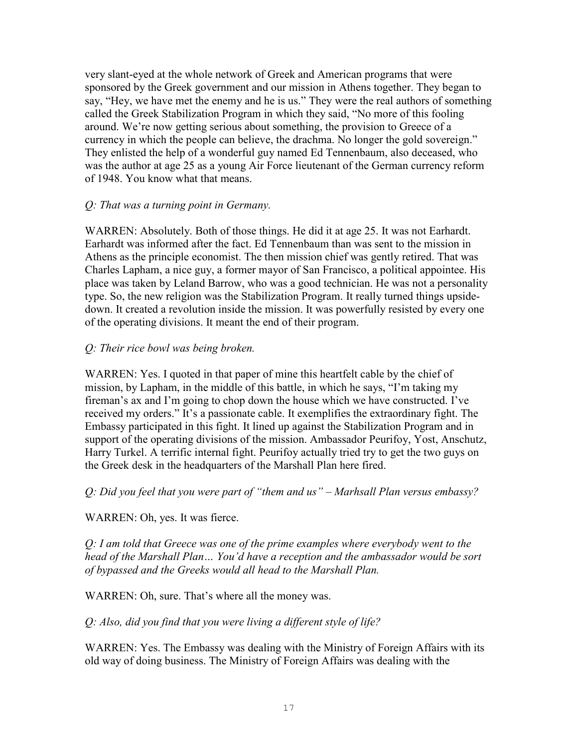very slant-eyed at the whole network of Greek and American programs that were sponsored by the Greek government and our mission in Athens together. They began to say, "Hey, we have met the enemy and he is us." They were the real authors of something called the Greek Stabilization Program in which they said, "No more of this fooling around. We're now getting serious about something, the provision to Greece of a currency in which the people can believe, the drachma. No longer the gold sovereign." They enlisted the help of a wonderful guy named Ed Tennenbaum, also deceased, who was the author at age 25 as a young Air Force lieutenant of the German currency reform of 1948. You know what that means.

## *Q: That was a turning point in Germany.*

WARREN: Absolutely. Both of those things. He did it at age 25. It was not Earhardt. Earhardt was informed after the fact. Ed Tennenbaum than was sent to the mission in Athens as the principle economist. The then mission chief was gently retired. That was Charles Lapham, a nice guy, a former mayor of San Francisco, a political appointee. His place was taken by Leland Barrow, who was a good technician. He was not a personality type. So, the new religion was the Stabilization Program. It really turned things upsidedown. It created a revolution inside the mission. It was powerfully resisted by every one of the operating divisions. It meant the end of their program.

## *Q: Their rice bowl was being broken.*

WARREN: Yes. I quoted in that paper of mine this heartfelt cable by the chief of mission, by Lapham, in the middle of this battle, in which he says, "I'm taking my fireman's ax and I'm going to chop down the house which we have constructed. I've received my orders." It's a passionate cable. It exemplifies the extraordinary fight. The Embassy participated in this fight. It lined up against the Stabilization Program and in support of the operating divisions of the mission. Ambassador Peurifoy, Yost, Anschutz, Harry Turkel. A terrific internal fight. Peurifoy actually tried try to get the two guys on the Greek desk in the headquarters of the Marshall Plan here fired.

*Q: Did you feel that you were part of "them and us" – Marhsall Plan versus embassy?*

WARREN: Oh, yes. It was fierce.

*Q: I am told that Greece was one of the prime examples where everybody went to the head of the Marshall Plan… You'd have a reception and the ambassador would be sort of bypassed and the Greeks would all head to the Marshall Plan.*

WARREN: Oh, sure. That's where all the money was.

*Q: Also, did you find that you were living a different style of life?*

WARREN: Yes. The Embassy was dealing with the Ministry of Foreign Affairs with its old way of doing business. The Ministry of Foreign Affairs was dealing with the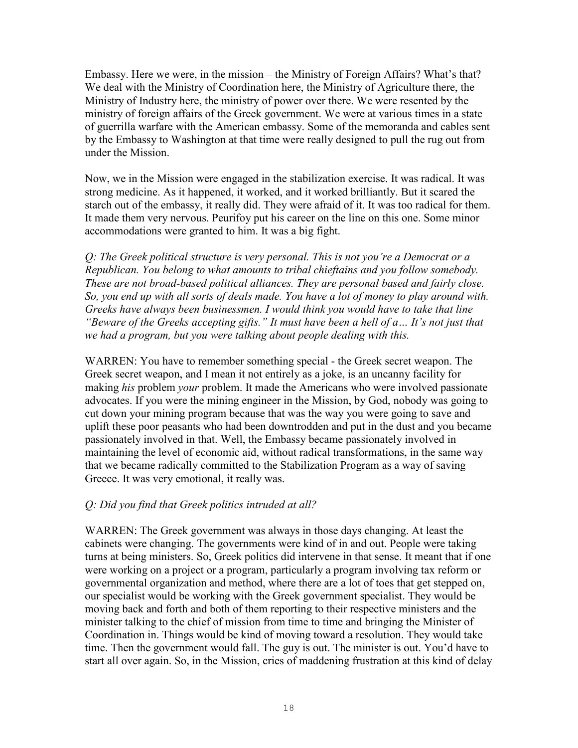Embassy. Here we were, in the mission – the Ministry of Foreign Affairs? What's that? We deal with the Ministry of Coordination here, the Ministry of Agriculture there, the Ministry of Industry here, the ministry of power over there. We were resented by the ministry of foreign affairs of the Greek government. We were at various times in a state of guerrilla warfare with the American embassy. Some of the memoranda and cables sent by the Embassy to Washington at that time were really designed to pull the rug out from under the Mission.

Now, we in the Mission were engaged in the stabilization exercise. It was radical. It was strong medicine. As it happened, it worked, and it worked brilliantly. But it scared the starch out of the embassy, it really did. They were afraid of it. It was too radical for them. It made them very nervous. Peurifoy put his career on the line on this one. Some minor accommodations were granted to him. It was a big fight.

*Q: The Greek political structure is very personal. This is not you're a Democrat or a Republican. You belong to what amounts to tribal chieftains and you follow somebody. These are not broad-based political alliances. They are personal based and fairly close. So, you end up with all sorts of deals made. You have a lot of money to play around with. Greeks have always been businessmen. I would think you would have to take that line "Beware of the Greeks accepting gifts." It must have been a hell of a… It's not just that we had a program, but you were talking about people dealing with this.* 

WARREN: You have to remember something special - the Greek secret weapon. The Greek secret weapon, and I mean it not entirely as a joke, is an uncanny facility for making *his* problem *your* problem. It made the Americans who were involved passionate advocates. If you were the mining engineer in the Mission, by God, nobody was going to cut down your mining program because that was the way you were going to save and uplift these poor peasants who had been downtrodden and put in the dust and you became passionately involved in that. Well, the Embassy became passionately involved in maintaining the level of economic aid, without radical transformations, in the same way that we became radically committed to the Stabilization Program as a way of saving Greece. It was very emotional, it really was.

# *Q: Did you find that Greek politics intruded at all?*

WARREN: The Greek government was always in those days changing. At least the cabinets were changing. The governments were kind of in and out. People were taking turns at being ministers. So, Greek politics did intervene in that sense. It meant that if one were working on a project or a program, particularly a program involving tax reform or governmental organization and method, where there are a lot of toes that get stepped on, our specialist would be working with the Greek government specialist. They would be moving back and forth and both of them reporting to their respective ministers and the minister talking to the chief of mission from time to time and bringing the Minister of Coordination in. Things would be kind of moving toward a resolution. They would take time. Then the government would fall. The guy is out. The minister is out. You'd have to start all over again. So, in the Mission, cries of maddening frustration at this kind of delay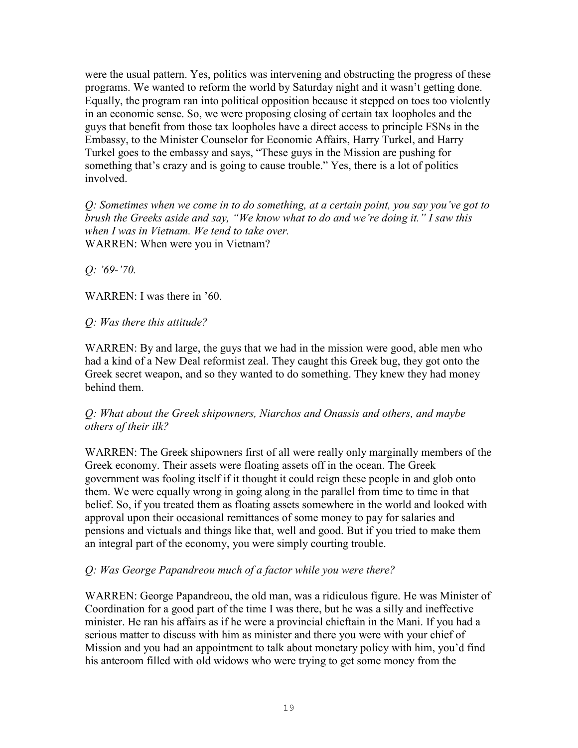were the usual pattern. Yes, politics was intervening and obstructing the progress of these programs. We wanted to reform the world by Saturday night and it wasn't getting done. Equally, the program ran into political opposition because it stepped on toes too violently in an economic sense. So, we were proposing closing of certain tax loopholes and the guys that benefit from those tax loopholes have a direct access to principle FSNs in the Embassy, to the Minister Counselor for Economic Affairs, Harry Turkel, and Harry Turkel goes to the embassy and says, "These guys in the Mission are pushing for something that's crazy and is going to cause trouble." Yes, there is a lot of politics involved.

*Q: Sometimes when we come in to do something, at a certain point, you say you've got to brush the Greeks aside and say, "We know what to do and we're doing it." I saw this when I was in Vietnam. We tend to take over.*  WARREN: When were you in Vietnam?

*Q: '69-'70.*

WARREN: I was there in '60.

# *Q: Was there this attitude?*

WARREN: By and large, the guys that we had in the mission were good, able men who had a kind of a New Deal reformist zeal. They caught this Greek bug, they got onto the Greek secret weapon, and so they wanted to do something. They knew they had money behind them.

# *Q: What about the Greek shipowners, Niarchos and Onassis and others, and maybe others of their ilk?*

WARREN: The Greek shipowners first of all were really only marginally members of the Greek economy. Their assets were floating assets off in the ocean. The Greek government was fooling itself if it thought it could reign these people in and glob onto them. We were equally wrong in going along in the parallel from time to time in that belief. So, if you treated them as floating assets somewhere in the world and looked with approval upon their occasional remittances of some money to pay for salaries and pensions and victuals and things like that, well and good. But if you tried to make them an integral part of the economy, you were simply courting trouble.

# *Q: Was George Papandreou much of a factor while you were there?*

WARREN: George Papandreou, the old man, was a ridiculous figure. He was Minister of Coordination for a good part of the time I was there, but he was a silly and ineffective minister. He ran his affairs as if he were a provincial chieftain in the Mani. If you had a serious matter to discuss with him as minister and there you were with your chief of Mission and you had an appointment to talk about monetary policy with him, you'd find his anteroom filled with old widows who were trying to get some money from the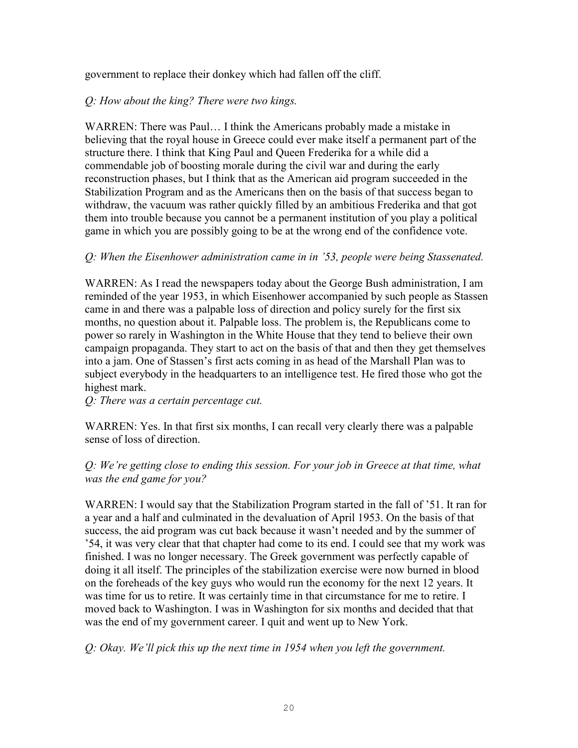government to replace their donkey which had fallen off the cliff.

## *Q: How about the king? There were two kings.*

WARREN: There was Paul… I think the Americans probably made a mistake in believing that the royal house in Greece could ever make itself a permanent part of the structure there. I think that King Paul and Queen Frederika for a while did a commendable job of boosting morale during the civil war and during the early reconstruction phases, but I think that as the American aid program succeeded in the Stabilization Program and as the Americans then on the basis of that success began to withdraw, the vacuum was rather quickly filled by an ambitious Frederika and that got them into trouble because you cannot be a permanent institution of you play a political game in which you are possibly going to be at the wrong end of the confidence vote.

# *Q: When the Eisenhower administration came in in '53, people were being Stassenated.*

WARREN: As I read the newspapers today about the George Bush administration, I am reminded of the year 1953, in which Eisenhower accompanied by such people as Stassen came in and there was a palpable loss of direction and policy surely for the first six months, no question about it. Palpable loss. The problem is, the Republicans come to power so rarely in Washington in the White House that they tend to believe their own campaign propaganda. They start to act on the basis of that and then they get themselves into a jam. One of Stassen's first acts coming in as head of the Marshall Plan was to subject everybody in the headquarters to an intelligence test. He fired those who got the highest mark.

*Q: There was a certain percentage cut.*

WARREN: Yes. In that first six months, I can recall very clearly there was a palpable sense of loss of direction.

*Q: We're getting close to ending this session. For your job in Greece at that time, what was the end game for you?* 

WARREN: I would say that the Stabilization Program started in the fall of '51. It ran for a year and a half and culminated in the devaluation of April 1953. On the basis of that success, the aid program was cut back because it wasn't needed and by the summer of '54, it was very clear that that chapter had come to its end. I could see that my work was finished. I was no longer necessary. The Greek government was perfectly capable of doing it all itself. The principles of the stabilization exercise were now burned in blood on the foreheads of the key guys who would run the economy for the next 12 years. It was time for us to retire. It was certainly time in that circumstance for me to retire. I moved back to Washington. I was in Washington for six months and decided that that was the end of my government career. I quit and went up to New York.

*Q: Okay. We'll pick this up the next time in 1954 when you left the government.*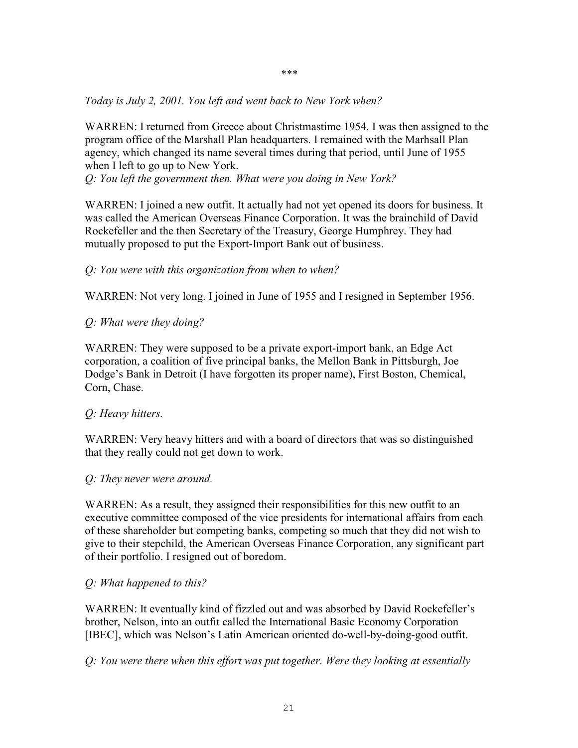*\*\*\** 

*Today is July 2, 2001. You left and went back to New York when?*

WARREN: I returned from Greece about Christmastime 1954. I was then assigned to the program office of the Marshall Plan headquarters. I remained with the Marhsall Plan agency, which changed its name several times during that period, until June of 1955 when I left to go up to New York.

*Q: You left the government then. What were you doing in New York?* 

WARREN: I joined a new outfit. It actually had not yet opened its doors for business. It was called the American Overseas Finance Corporation. It was the brainchild of David Rockefeller and the then Secretary of the Treasury, George Humphrey. They had mutually proposed to put the Export-Import Bank out of business.

## *Q: You were with this organization from when to when?*

WARREN: Not very long. I joined in June of 1955 and I resigned in September 1956.

# *Q: What were they doing?*

WARREN: They were supposed to be a private export-import bank, an Edge Act corporation, a coalition of five principal banks, the Mellon Bank in Pittsburgh, Joe Dodge's Bank in Detroit (I have forgotten its proper name), First Boston, Chemical, Corn, Chase.

#### *Q: Heavy hitters.*

WARREN: Very heavy hitters and with a board of directors that was so distinguished that they really could not get down to work.

#### *Q: They never were around.*

WARREN: As a result, they assigned their responsibilities for this new outfit to an executive committee composed of the vice presidents for international affairs from each of these shareholder but competing banks, competing so much that they did not wish to give to their stepchild, the American Overseas Finance Corporation, any significant part of their portfolio. I resigned out of boredom.

#### *Q: What happened to this?*

WARREN: It eventually kind of fizzled out and was absorbed by David Rockefeller's brother, Nelson, into an outfit called the International Basic Economy Corporation [IBEC], which was Nelson's Latin American oriented do-well-by-doing-good outfit.

*Q: You were there when this effort was put together. Were they looking at essentially*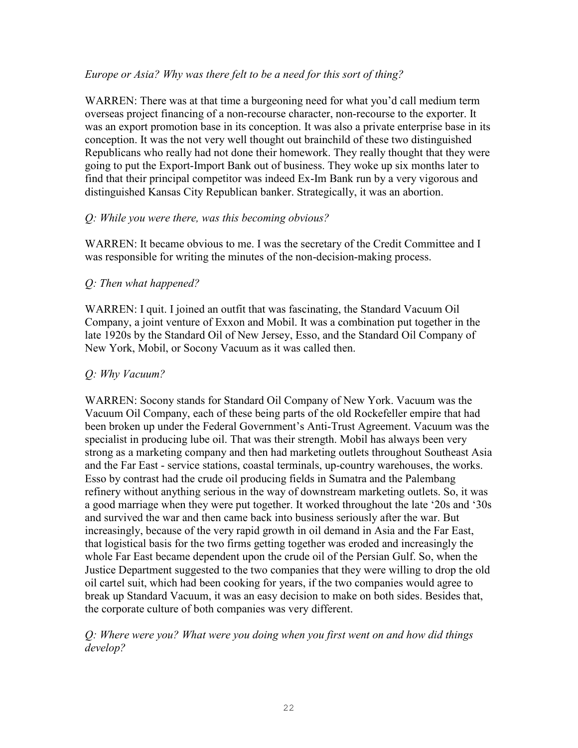## *Europe or Asia? Why was there felt to be a need for this sort of thing?*

WARREN: There was at that time a burgeoning need for what you'd call medium term overseas project financing of a non-recourse character, non-recourse to the exporter. It was an export promotion base in its conception. It was also a private enterprise base in its conception. It was the not very well thought out brainchild of these two distinguished Republicans who really had not done their homework. They really thought that they were going to put the Export-Import Bank out of business. They woke up six months later to find that their principal competitor was indeed Ex-Im Bank run by a very vigorous and distinguished Kansas City Republican banker. Strategically, it was an abortion.

## *Q: While you were there, was this becoming obvious?*

WARREN: It became obvious to me. I was the secretary of the Credit Committee and I was responsible for writing the minutes of the non-decision-making process.

# *Q: Then what happened?*

WARREN: I quit. I joined an outfit that was fascinating, the Standard Vacuum Oil Company, a joint venture of Exxon and Mobil. It was a combination put together in the late 1920s by the Standard Oil of New Jersey, Esso, and the Standard Oil Company of New York, Mobil, or Socony Vacuum as it was called then.

## *Q: Why Vacuum?*

WARREN: Socony stands for Standard Oil Company of New York. Vacuum was the Vacuum Oil Company, each of these being parts of the old Rockefeller empire that had been broken up under the Federal Government's Anti-Trust Agreement. Vacuum was the specialist in producing lube oil. That was their strength. Mobil has always been very strong as a marketing company and then had marketing outlets throughout Southeast Asia and the Far East - service stations, coastal terminals, up-country warehouses, the works. Esso by contrast had the crude oil producing fields in Sumatra and the Palembang refinery without anything serious in the way of downstream marketing outlets. So, it was a good marriage when they were put together. It worked throughout the late '20s and '30s and survived the war and then came back into business seriously after the war. But increasingly, because of the very rapid growth in oil demand in Asia and the Far East, that logistical basis for the two firms getting together was eroded and increasingly the whole Far East became dependent upon the crude oil of the Persian Gulf. So, when the Justice Department suggested to the two companies that they were willing to drop the old oil cartel suit, which had been cooking for years, if the two companies would agree to break up Standard Vacuum, it was an easy decision to make on both sides. Besides that, the corporate culture of both companies was very different.

## *Q: Where were you? What were you doing when you first went on and how did things develop?*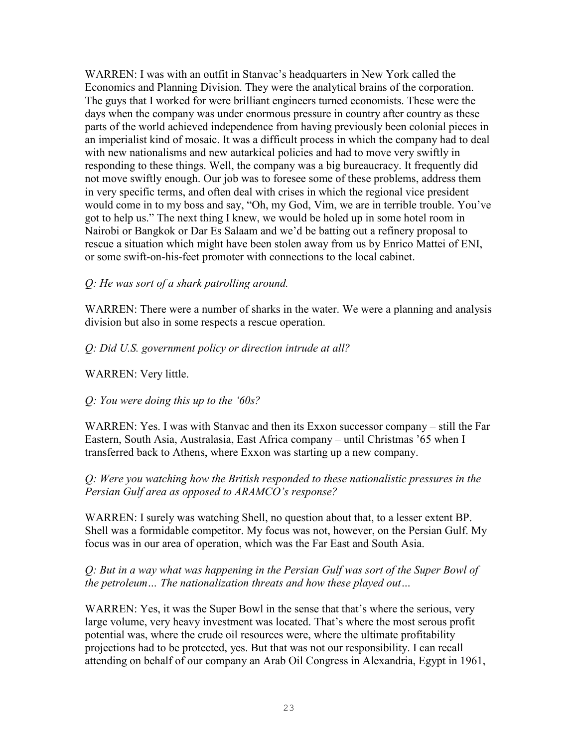WARREN: I was with an outfit in Stanvac's headquarters in New York called the Economics and Planning Division. They were the analytical brains of the corporation. The guys that I worked for were brilliant engineers turned economists. These were the days when the company was under enormous pressure in country after country as these parts of the world achieved independence from having previously been colonial pieces in an imperialist kind of mosaic. It was a difficult process in which the company had to deal with new nationalisms and new autarkical policies and had to move very swiftly in responding to these things. Well, the company was a big bureaucracy. It frequently did not move swiftly enough. Our job was to foresee some of these problems, address them in very specific terms, and often deal with crises in which the regional vice president would come in to my boss and say, "Oh, my God, Vim, we are in terrible trouble. You've got to help us." The next thing I knew, we would be holed up in some hotel room in Nairobi or Bangkok or Dar Es Salaam and we'd be batting out a refinery proposal to rescue a situation which might have been stolen away from us by Enrico Mattei of ENI, or some swift-on-his-feet promoter with connections to the local cabinet.

*Q: He was sort of a shark patrolling around.*

WARREN: There were a number of sharks in the water. We were a planning and analysis division but also in some respects a rescue operation.

# *Q: Did U.S. government policy or direction intrude at all?*

WARREN: Very little.

# *Q: You were doing this up to the '60s?*

WARREN: Yes. I was with Stanvac and then its Exxon successor company – still the Far Eastern, South Asia, Australasia, East Africa company – until Christmas '65 when I transferred back to Athens, where Exxon was starting up a new company.

# *Q: Were you watching how the British responded to these nationalistic pressures in the Persian Gulf area as opposed to ARAMCO's response?*

WARREN: I surely was watching Shell, no question about that, to a lesser extent BP. Shell was a formidable competitor. My focus was not, however, on the Persian Gulf. My focus was in our area of operation, which was the Far East and South Asia.

# *Q: But in a way what was happening in the Persian Gulf was sort of the Super Bowl of the petroleum… The nationalization threats and how these played out…*

WARREN: Yes, it was the Super Bowl in the sense that that's where the serious, very large volume, very heavy investment was located. That's where the most serous profit potential was, where the crude oil resources were, where the ultimate profitability projections had to be protected, yes. But that was not our responsibility. I can recall attending on behalf of our company an Arab Oil Congress in Alexandria, Egypt in 1961,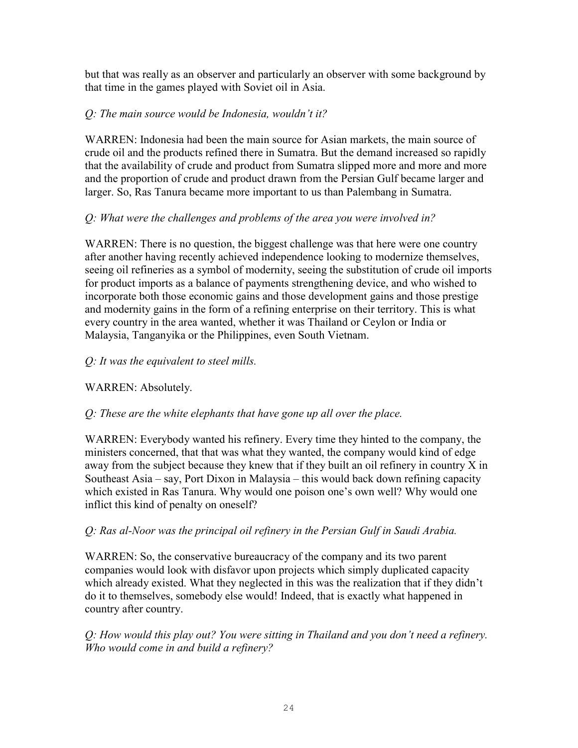but that was really as an observer and particularly an observer with some background by that time in the games played with Soviet oil in Asia.

# *Q: The main source would be Indonesia, wouldn't it?*

WARREN: Indonesia had been the main source for Asian markets, the main source of crude oil and the products refined there in Sumatra. But the demand increased so rapidly that the availability of crude and product from Sumatra slipped more and more and more and the proportion of crude and product drawn from the Persian Gulf became larger and larger. So, Ras Tanura became more important to us than Palembang in Sumatra.

# *Q: What were the challenges and problems of the area you were involved in?*

WARREN: There is no question, the biggest challenge was that here were one country after another having recently achieved independence looking to modernize themselves, seeing oil refineries as a symbol of modernity, seeing the substitution of crude oil imports for product imports as a balance of payments strengthening device, and who wished to incorporate both those economic gains and those development gains and those prestige and modernity gains in the form of a refining enterprise on their territory. This is what every country in the area wanted, whether it was Thailand or Ceylon or India or Malaysia, Tanganyika or the Philippines, even South Vietnam.

# *Q: It was the equivalent to steel mills.*

# WARREN: Absolutely.

# *Q: These are the white elephants that have gone up all over the place.*

WARREN: Everybody wanted his refinery. Every time they hinted to the company, the ministers concerned, that that was what they wanted, the company would kind of edge away from the subject because they knew that if they built an oil refinery in country X in Southeast Asia – say, Port Dixon in Malaysia – this would back down refining capacity which existed in Ras Tanura. Why would one poison one's own well? Why would one inflict this kind of penalty on oneself?

# *Q: Ras al-Noor was the principal oil refinery in the Persian Gulf in Saudi Arabia.*

WARREN: So, the conservative bureaucracy of the company and its two parent companies would look with disfavor upon projects which simply duplicated capacity which already existed. What they neglected in this was the realization that if they didn't do it to themselves, somebody else would! Indeed, that is exactly what happened in country after country.

# *Q: How would this play out? You were sitting in Thailand and you don't need a refinery. Who would come in and build a refinery?*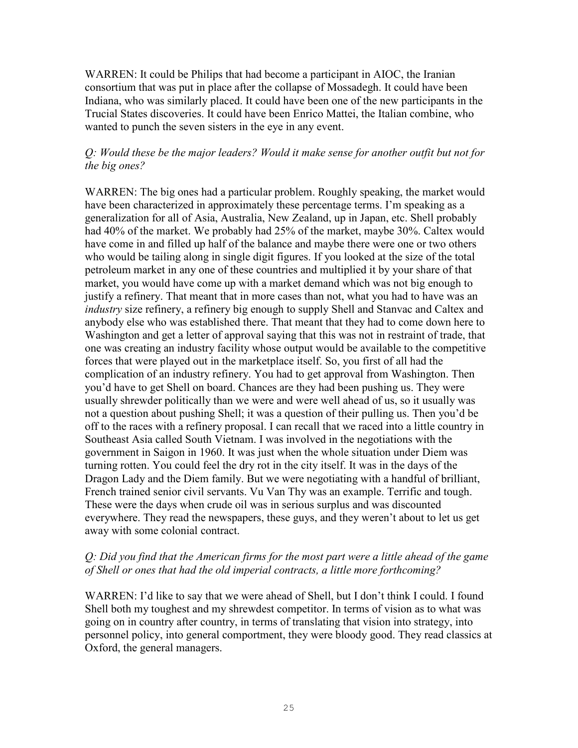WARREN: It could be Philips that had become a participant in AIOC, the Iranian consortium that was put in place after the collapse of Mossadegh. It could have been Indiana, who was similarly placed. It could have been one of the new participants in the Trucial States discoveries. It could have been Enrico Mattei, the Italian combine, who wanted to punch the seven sisters in the eye in any event.

## *Q: Would these be the major leaders? Would it make sense for another outfit but not for the big ones?*

WARREN: The big ones had a particular problem. Roughly speaking, the market would have been characterized in approximately these percentage terms. I'm speaking as a generalization for all of Asia, Australia, New Zealand, up in Japan, etc. Shell probably had 40% of the market. We probably had 25% of the market, maybe 30%. Caltex would have come in and filled up half of the balance and maybe there were one or two others who would be tailing along in single digit figures. If you looked at the size of the total petroleum market in any one of these countries and multiplied it by your share of that market, you would have come up with a market demand which was not big enough to justify a refinery. That meant that in more cases than not, what you had to have was an *industry* size refinery, a refinery big enough to supply Shell and Stanvac and Caltex and anybody else who was established there. That meant that they had to come down here to Washington and get a letter of approval saying that this was not in restraint of trade, that one was creating an industry facility whose output would be available to the competitive forces that were played out in the marketplace itself. So, you first of all had the complication of an industry refinery. You had to get approval from Washington. Then you'd have to get Shell on board. Chances are they had been pushing us. They were usually shrewder politically than we were and were well ahead of us, so it usually was not a question about pushing Shell; it was a question of their pulling us. Then you'd be off to the races with a refinery proposal. I can recall that we raced into a little country in Southeast Asia called South Vietnam. I was involved in the negotiations with the government in Saigon in 1960. It was just when the whole situation under Diem was turning rotten. You could feel the dry rot in the city itself. It was in the days of the Dragon Lady and the Diem family. But we were negotiating with a handful of brilliant, French trained senior civil servants. Vu Van Thy was an example. Terrific and tough. These were the days when crude oil was in serious surplus and was discounted everywhere. They read the newspapers, these guys, and they weren't about to let us get away with some colonial contract.

# *Q: Did you find that the American firms for the most part were a little ahead of the game of Shell or ones that had the old imperial contracts, a little more forthcoming?*

WARREN: I'd like to say that we were ahead of Shell, but I don't think I could. I found Shell both my toughest and my shrewdest competitor. In terms of vision as to what was going on in country after country, in terms of translating that vision into strategy, into personnel policy, into general comportment, they were bloody good. They read classics at Oxford, the general managers.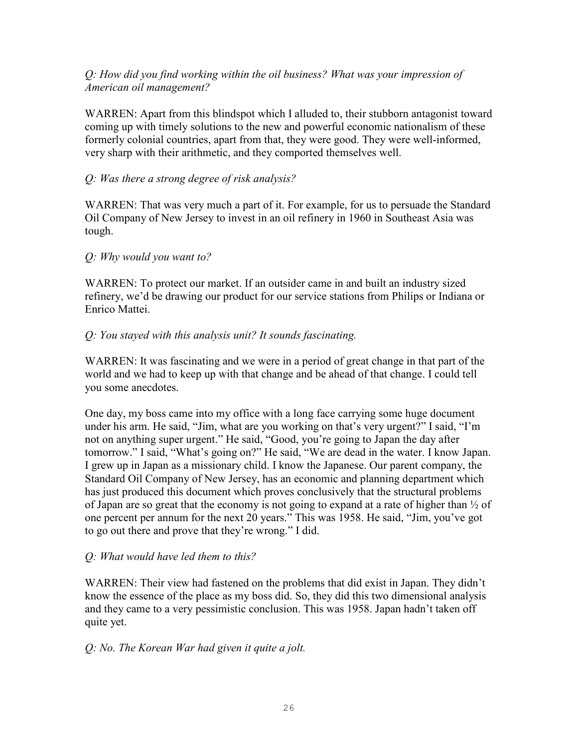# *Q: How did you find working within the oil business? What was your impression of American oil management?*

WARREN: Apart from this blindspot which I alluded to, their stubborn antagonist toward coming up with timely solutions to the new and powerful economic nationalism of these formerly colonial countries, apart from that, they were good. They were well-informed, very sharp with their arithmetic, and they comported themselves well.

# *Q: Was there a strong degree of risk analysis?*

WARREN: That was very much a part of it. For example, for us to persuade the Standard Oil Company of New Jersey to invest in an oil refinery in 1960 in Southeast Asia was tough.

# *Q: Why would you want to?*

WARREN: To protect our market. If an outsider came in and built an industry sized refinery, we'd be drawing our product for our service stations from Philips or Indiana or Enrico Mattei.

# *Q: You stayed with this analysis unit? It sounds fascinating.*

WARREN: It was fascinating and we were in a period of great change in that part of the world and we had to keep up with that change and be ahead of that change. I could tell you some anecdotes.

One day, my boss came into my office with a long face carrying some huge document under his arm. He said, "Jim, what are you working on that's very urgent?" I said, "I'm not on anything super urgent." He said, "Good, you're going to Japan the day after tomorrow." I said, "What's going on?" He said, "We are dead in the water. I know Japan. I grew up in Japan as a missionary child. I know the Japanese. Our parent company, the Standard Oil Company of New Jersey, has an economic and planning department which has just produced this document which proves conclusively that the structural problems of Japan are so great that the economy is not going to expand at a rate of higher than ½ of one percent per annum for the next 20 years." This was 1958. He said, "Jim, you've got to go out there and prove that they're wrong." I did.

# *Q: What would have led them to this?*

WARREN: Their view had fastened on the problems that did exist in Japan. They didn't know the essence of the place as my boss did. So, they did this two dimensional analysis and they came to a very pessimistic conclusion. This was 1958. Japan hadn't taken off quite yet.

# *Q: No. The Korean War had given it quite a jolt.*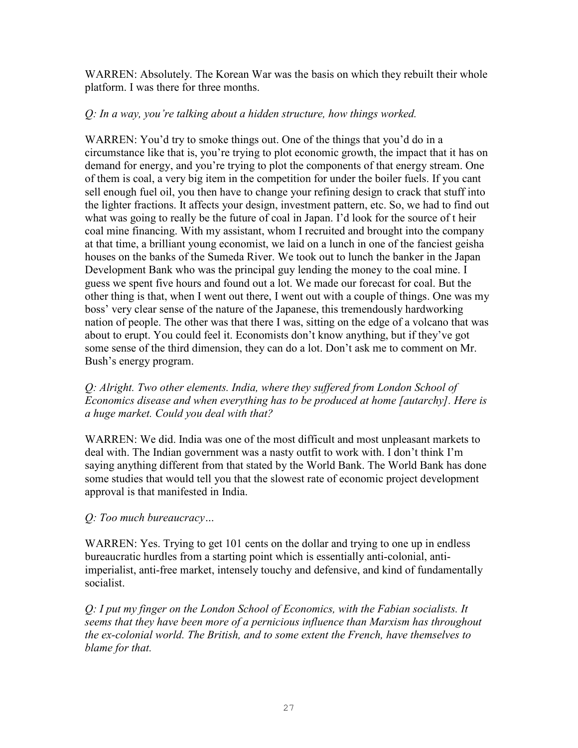WARREN: Absolutely. The Korean War was the basis on which they rebuilt their whole platform. I was there for three months.

## *Q: In a way, you're talking about a hidden structure, how things worked.*

WARREN: You'd try to smoke things out. One of the things that you'd do in a circumstance like that is, you're trying to plot economic growth, the impact that it has on demand for energy, and you're trying to plot the components of that energy stream. One of them is coal, a very big item in the competition for under the boiler fuels. If you cant sell enough fuel oil, you then have to change your refining design to crack that stuff into the lighter fractions. It affects your design, investment pattern, etc. So, we had to find out what was going to really be the future of coal in Japan. I'd look for the source of t heir coal mine financing. With my assistant, whom I recruited and brought into the company at that time, a brilliant young economist, we laid on a lunch in one of the fanciest geisha houses on the banks of the Sumeda River. We took out to lunch the banker in the Japan Development Bank who was the principal guy lending the money to the coal mine. I guess we spent five hours and found out a lot. We made our forecast for coal. But the other thing is that, when I went out there, I went out with a couple of things. One was my boss' very clear sense of the nature of the Japanese, this tremendously hardworking nation of people. The other was that there I was, sitting on the edge of a volcano that was about to erupt. You could feel it. Economists don't know anything, but if they've got some sense of the third dimension, they can do a lot. Don't ask me to comment on Mr. Bush's energy program.

*Q: Alright. Two other elements. India, where they suffered from London School of Economics disease and when everything has to be produced at home [autarchy]. Here is a huge market. Could you deal with that?* 

WARREN: We did. India was one of the most difficult and most unpleasant markets to deal with. The Indian government was a nasty outfit to work with. I don't think I'm saying anything different from that stated by the World Bank. The World Bank has done some studies that would tell you that the slowest rate of economic project development approval is that manifested in India.

# *Q: Too much bureaucracy…*

WARREN: Yes. Trying to get 101 cents on the dollar and trying to one up in endless bureaucratic hurdles from a starting point which is essentially anti-colonial, antiimperialist, anti-free market, intensely touchy and defensive, and kind of fundamentally socialist.

*Q: I put my finger on the London School of Economics, with the Fabian socialists. It seems that they have been more of a pernicious influence than Marxism has throughout the ex-colonial world. The British, and to some extent the French, have themselves to blame for that.*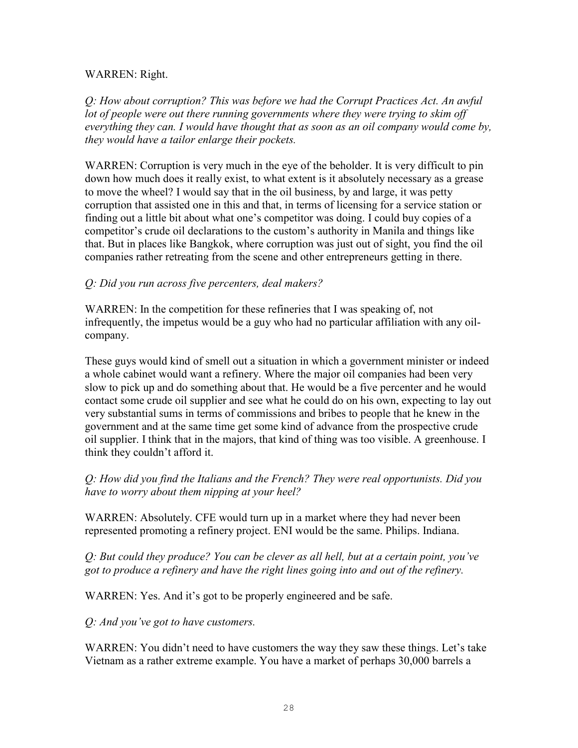#### WARREN: Right.

*Q: How about corruption? This was before we had the Corrupt Practices Act. An awful*  lot of people were out there running governments where they were trying to skim off *everything they can. I would have thought that as soon as an oil company would come by, they would have a tailor enlarge their pockets.* 

WARREN: Corruption is very much in the eye of the beholder. It is very difficult to pin down how much does it really exist, to what extent is it absolutely necessary as a grease to move the wheel? I would say that in the oil business, by and large, it was petty corruption that assisted one in this and that, in terms of licensing for a service station or finding out a little bit about what one's competitor was doing. I could buy copies of a competitor's crude oil declarations to the custom's authority in Manila and things like that. But in places like Bangkok, where corruption was just out of sight, you find the oil companies rather retreating from the scene and other entrepreneurs getting in there.

# *Q: Did you run across five percenters, deal makers?*

WARREN: In the competition for these refineries that I was speaking of, not infrequently, the impetus would be a guy who had no particular affiliation with any oilcompany.

These guys would kind of smell out a situation in which a government minister or indeed a whole cabinet would want a refinery. Where the major oil companies had been very slow to pick up and do something about that. He would be a five percenter and he would contact some crude oil supplier and see what he could do on his own, expecting to lay out very substantial sums in terms of commissions and bribes to people that he knew in the government and at the same time get some kind of advance from the prospective crude oil supplier. I think that in the majors, that kind of thing was too visible. A greenhouse. I think they couldn't afford it.

*Q: How did you find the Italians and the French? They were real opportunists. Did you have to worry about them nipping at your heel?* 

WARREN: Absolutely. CFE would turn up in a market where they had never been represented promoting a refinery project. ENI would be the same. Philips. Indiana.

*Q: But could they produce? You can be clever as all hell, but at a certain point, you've got to produce a refinery and have the right lines going into and out of the refinery.* 

WARREN: Yes. And it's got to be properly engineered and be safe.

*Q: And you've got to have customers.*

WARREN: You didn't need to have customers the way they saw these things. Let's take Vietnam as a rather extreme example. You have a market of perhaps 30,000 barrels a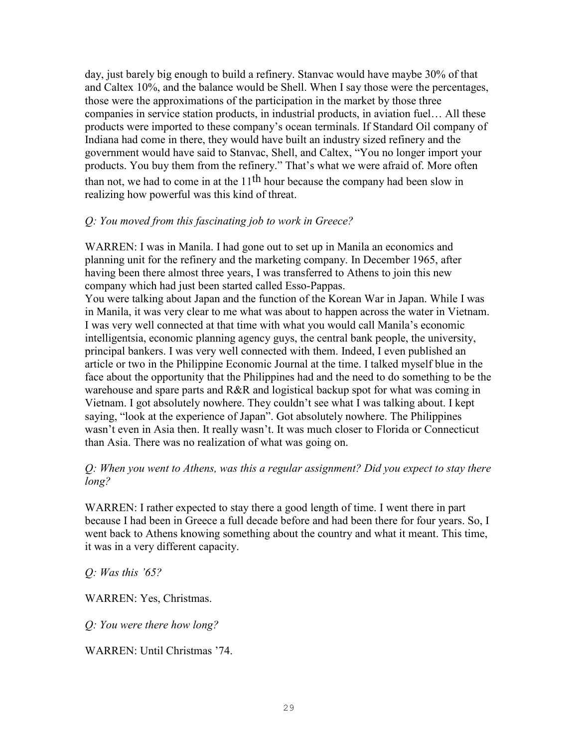day, just barely big enough to build a refinery. Stanvac would have maybe 30% of that and Caltex 10%, and the balance would be Shell. When I say those were the percentages, those were the approximations of the participation in the market by those three companies in service station products, in industrial products, in aviation fuel… All these products were imported to these company's ocean terminals. If Standard Oil company of Indiana had come in there, they would have built an industry sized refinery and the government would have said to Stanvac, Shell, and Caltex, "You no longer import your products. You buy them from the refinery." That's what we were afraid of. More often than not, we had to come in at the  $11<sup>th</sup>$  hour because the company had been slow in realizing how powerful was this kind of threat.

## *Q: You moved from this fascinating job to work in Greece?*

WARREN: I was in Manila. I had gone out to set up in Manila an economics and planning unit for the refinery and the marketing company. In December 1965, after having been there almost three years, I was transferred to Athens to join this new company which had just been started called Esso-Pappas.

You were talking about Japan and the function of the Korean War in Japan. While I was in Manila, it was very clear to me what was about to happen across the water in Vietnam. I was very well connected at that time with what you would call Manila's economic intelligentsia, economic planning agency guys, the central bank people, the university, principal bankers. I was very well connected with them. Indeed, I even published an article or two in the Philippine Economic Journal at the time. I talked myself blue in the face about the opportunity that the Philippines had and the need to do something to be the warehouse and spare parts and R&R and logistical backup spot for what was coming in Vietnam. I got absolutely nowhere. They couldn't see what I was talking about. I kept saying, "look at the experience of Japan". Got absolutely nowhere. The Philippines wasn't even in Asia then. It really wasn't. It was much closer to Florida or Connecticut than Asia. There was no realization of what was going on.

## *Q: When you went to Athens, was this a regular assignment? Did you expect to stay there long?*

WARREN: I rather expected to stay there a good length of time. I went there in part because I had been in Greece a full decade before and had been there for four years. So, I went back to Athens knowing something about the country and what it meant. This time, it was in a very different capacity.

*Q: Was this '65?*

WARREN: Yes, Christmas.

*Q: You were there how long?*

WARREN: Until Christmas '74.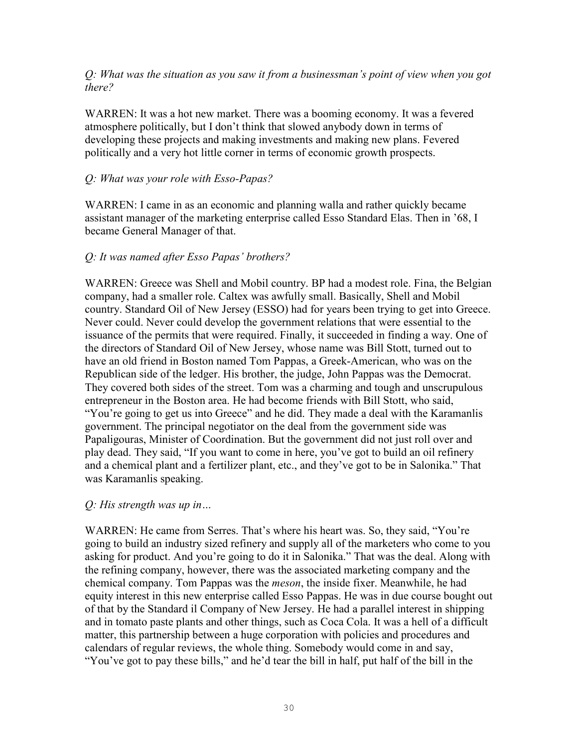*Q: What was the situation as you saw it from a businessman's point of view when you got there?*

WARREN: It was a hot new market. There was a booming economy. It was a fevered atmosphere politically, but I don't think that slowed anybody down in terms of developing these projects and making investments and making new plans. Fevered politically and a very hot little corner in terms of economic growth prospects.

## *Q: What was your role with Esso-Papas?*

WARREN: I came in as an economic and planning walla and rather quickly became assistant manager of the marketing enterprise called Esso Standard Elas. Then in '68, I became General Manager of that.

## *Q: It was named after Esso Papas' brothers?*

WARREN: Greece was Shell and Mobil country. BP had a modest role. Fina, the Belgian company, had a smaller role. Caltex was awfully small. Basically, Shell and Mobil country. Standard Oil of New Jersey (ESSO) had for years been trying to get into Greece. Never could. Never could develop the government relations that were essential to the issuance of the permits that were required. Finally, it succeeded in finding a way. One of the directors of Standard Oil of New Jersey, whose name was Bill Stott, turned out to have an old friend in Boston named Tom Pappas, a Greek-American, who was on the Republican side of the ledger. His brother, the judge, John Pappas was the Democrat. They covered both sides of the street. Tom was a charming and tough and unscrupulous entrepreneur in the Boston area. He had become friends with Bill Stott, who said, "You're going to get us into Greece" and he did. They made a deal with the Karamanlis government. The principal negotiator on the deal from the government side was Papaligouras, Minister of Coordination. But the government did not just roll over and play dead. They said, "If you want to come in here, you've got to build an oil refinery and a chemical plant and a fertilizer plant, etc., and they've got to be in Salonika." That was Karamanlis speaking.

#### *Q: His strength was up in…*

WARREN: He came from Serres. That's where his heart was. So, they said, "You're going to build an industry sized refinery and supply all of the marketers who come to you asking for product. And you're going to do it in Salonika." That was the deal. Along with the refining company, however, there was the associated marketing company and the chemical company. Tom Pappas was the *meson*, the inside fixer. Meanwhile, he had equity interest in this new enterprise called Esso Pappas. He was in due course bought out of that by the Standard il Company of New Jersey. He had a parallel interest in shipping and in tomato paste plants and other things, such as Coca Cola. It was a hell of a difficult matter, this partnership between a huge corporation with policies and procedures and calendars of regular reviews, the whole thing. Somebody would come in and say, "You've got to pay these bills," and he'd tear the bill in half, put half of the bill in the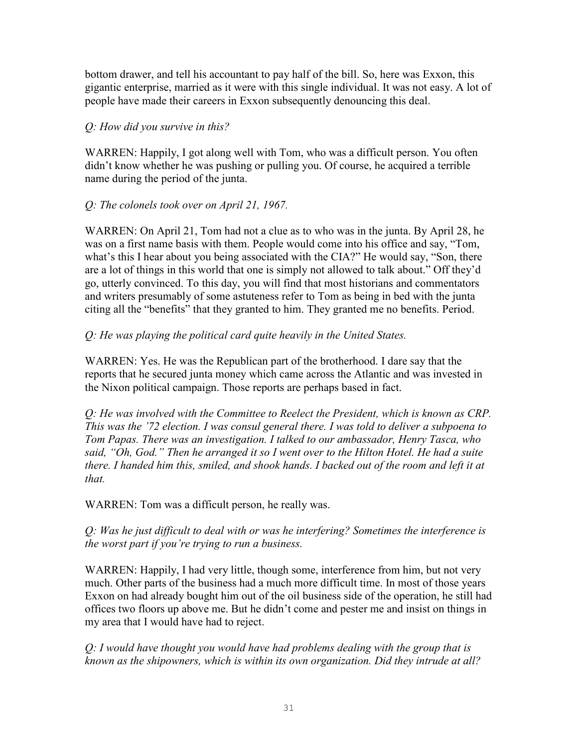bottom drawer, and tell his accountant to pay half of the bill. So, here was Exxon, this gigantic enterprise, married as it were with this single individual. It was not easy. A lot of people have made their careers in Exxon subsequently denouncing this deal.

# *Q: How did you survive in this?*

WARREN: Happily, I got along well with Tom, who was a difficult person. You often didn't know whether he was pushing or pulling you. Of course, he acquired a terrible name during the period of the junta.

# *Q: The colonels took over on April 21, 1967.*

WARREN: On April 21, Tom had not a clue as to who was in the junta. By April 28, he was on a first name basis with them. People would come into his office and say, "Tom, what's this I hear about you being associated with the CIA?" He would say, "Son, there are a lot of things in this world that one is simply not allowed to talk about." Off they'd go, utterly convinced. To this day, you will find that most historians and commentators and writers presumably of some astuteness refer to Tom as being in bed with the junta citing all the "benefits" that they granted to him. They granted me no benefits. Period.

# *Q: He was playing the political card quite heavily in the United States.*

WARREN: Yes. He was the Republican part of the brotherhood. I dare say that the reports that he secured junta money which came across the Atlantic and was invested in the Nixon political campaign. Those reports are perhaps based in fact.

*Q: He was involved with the Committee to Reelect the President, which is known as CRP. This was the '72 election. I was consul general there. I was told to deliver a subpoena to Tom Papas. There was an investigation. I talked to our ambassador, Henry Tasca, who said, "Oh, God." Then he arranged it so I went over to the Hilton Hotel. He had a suite there. I handed him this, smiled, and shook hands. I backed out of the room and left it at that.* 

WARREN: Tom was a difficult person, he really was.

*Q: Was he just difficult to deal with or was he interfering? Sometimes the interference is the worst part if you're trying to run a business.* 

WARREN: Happily, I had very little, though some, interference from him, but not very much. Other parts of the business had a much more difficult time. In most of those years Exxon on had already bought him out of the oil business side of the operation, he still had offices two floors up above me. But he didn't come and pester me and insist on things in my area that I would have had to reject.

*Q: I would have thought you would have had problems dealing with the group that is known as the shipowners, which is within its own organization. Did they intrude at all?*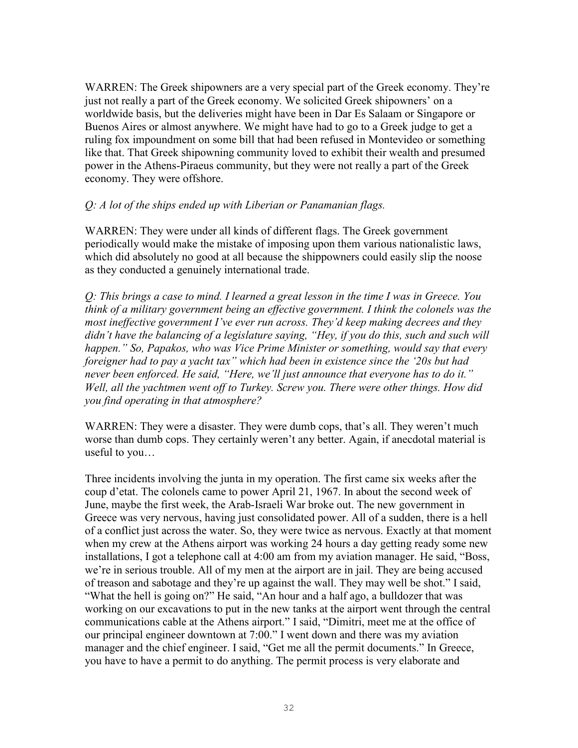WARREN: The Greek shipowners are a very special part of the Greek economy. They're just not really a part of the Greek economy. We solicited Greek shipowners' on a worldwide basis, but the deliveries might have been in Dar Es Salaam or Singapore or Buenos Aires or almost anywhere. We might have had to go to a Greek judge to get a ruling fox impoundment on some bill that had been refused in Montevideo or something like that. That Greek shipowning community loved to exhibit their wealth and presumed power in the Athens-Piraeus community, but they were not really a part of the Greek economy. They were offshore.

## *Q: A lot of the ships ended up with Liberian or Panamanian flags.*

WARREN: They were under all kinds of different flags. The Greek government periodically would make the mistake of imposing upon them various nationalistic laws, which did absolutely no good at all because the shippowners could easily slip the noose as they conducted a genuinely international trade.

*Q: This brings a case to mind. I learned a great lesson in the time I was in Greece. You think of a military government being an effective government. I think the colonels was the most ineffective government I've ever run across. They'd keep making decrees and they didn't have the balancing of a legislature saying, "Hey, if you do this, such and such will happen." So, Papakos, who was Vice Prime Minister or something, would say that every foreigner had to pay a yacht tax" which had been in existence since the '20s but had never been enforced. He said, "Here, we'll just announce that everyone has to do it." Well, all the yachtmen went off to Turkey. Screw you. There were other things. How did you find operating in that atmosphere?* 

WARREN: They were a disaster. They were dumb cops, that's all. They weren't much worse than dumb cops. They certainly weren't any better. Again, if anecdotal material is useful to you…

Three incidents involving the junta in my operation. The first came six weeks after the coup d'etat. The colonels came to power April 21, 1967. In about the second week of June, maybe the first week, the Arab-Israeli War broke out. The new government in Greece was very nervous, having just consolidated power. All of a sudden, there is a hell of a conflict just across the water. So, they were twice as nervous. Exactly at that moment when my crew at the Athens airport was working 24 hours a day getting ready some new installations, I got a telephone call at 4:00 am from my aviation manager. He said, "Boss, we're in serious trouble. All of my men at the airport are in jail. They are being accused of treason and sabotage and they're up against the wall. They may well be shot." I said, "What the hell is going on?" He said, "An hour and a half ago, a bulldozer that was working on our excavations to put in the new tanks at the airport went through the central communications cable at the Athens airport." I said, "Dimitri, meet me at the office of our principal engineer downtown at 7:00." I went down and there was my aviation manager and the chief engineer. I said, "Get me all the permit documents." In Greece, you have to have a permit to do anything. The permit process is very elaborate and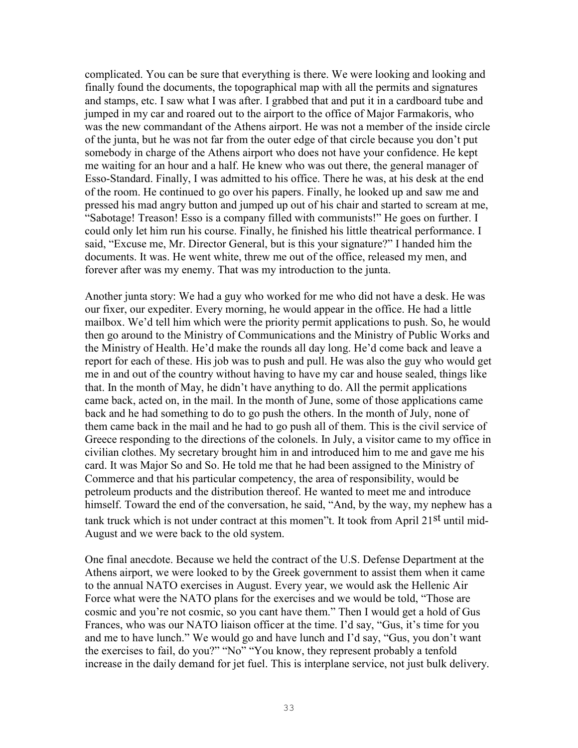complicated. You can be sure that everything is there. We were looking and looking and finally found the documents, the topographical map with all the permits and signatures and stamps, etc. I saw what I was after. I grabbed that and put it in a cardboard tube and jumped in my car and roared out to the airport to the office of Major Farmakoris, who was the new commandant of the Athens airport. He was not a member of the inside circle of the junta, but he was not far from the outer edge of that circle because you don't put somebody in charge of the Athens airport who does not have your confidence. He kept me waiting for an hour and a half. He knew who was out there, the general manager of Esso-Standard. Finally, I was admitted to his office. There he was, at his desk at the end of the room. He continued to go over his papers. Finally, he looked up and saw me and pressed his mad angry button and jumped up out of his chair and started to scream at me, "Sabotage! Treason! Esso is a company filled with communists!" He goes on further. I could only let him run his course. Finally, he finished his little theatrical performance. I said, "Excuse me, Mr. Director General, but is this your signature?" I handed him the documents. It was. He went white, threw me out of the office, released my men, and forever after was my enemy. That was my introduction to the junta.

Another junta story: We had a guy who worked for me who did not have a desk. He was our fixer, our expediter. Every morning, he would appear in the office. He had a little mailbox. We'd tell him which were the priority permit applications to push. So, he would then go around to the Ministry of Communications and the Ministry of Public Works and the Ministry of Health. He'd make the rounds all day long. He'd come back and leave a report for each of these. His job was to push and pull. He was also the guy who would get me in and out of the country without having to have my car and house sealed, things like that. In the month of May, he didn't have anything to do. All the permit applications came back, acted on, in the mail. In the month of June, some of those applications came back and he had something to do to go push the others. In the month of July, none of them came back in the mail and he had to go push all of them. This is the civil service of Greece responding to the directions of the colonels. In July, a visitor came to my office in civilian clothes. My secretary brought him in and introduced him to me and gave me his card. It was Major So and So. He told me that he had been assigned to the Ministry of Commerce and that his particular competency, the area of responsibility, would be petroleum products and the distribution thereof. He wanted to meet me and introduce himself. Toward the end of the conversation, he said, "And, by the way, my nephew has a tank truck which is not under contract at this momen"t. It took from April 21st until mid-August and we were back to the old system.

One final anecdote. Because we held the contract of the U.S. Defense Department at the Athens airport, we were looked to by the Greek government to assist them when it came to the annual NATO exercises in August. Every year, we would ask the Hellenic Air Force what were the NATO plans for the exercises and we would be told, "Those are cosmic and you're not cosmic, so you cant have them." Then I would get a hold of Gus Frances, who was our NATO liaison officer at the time. I'd say, "Gus, it's time for you and me to have lunch." We would go and have lunch and I'd say, "Gus, you don't want the exercises to fail, do you?" "No" "You know, they represent probably a tenfold increase in the daily demand for jet fuel. This is interplane service, not just bulk delivery.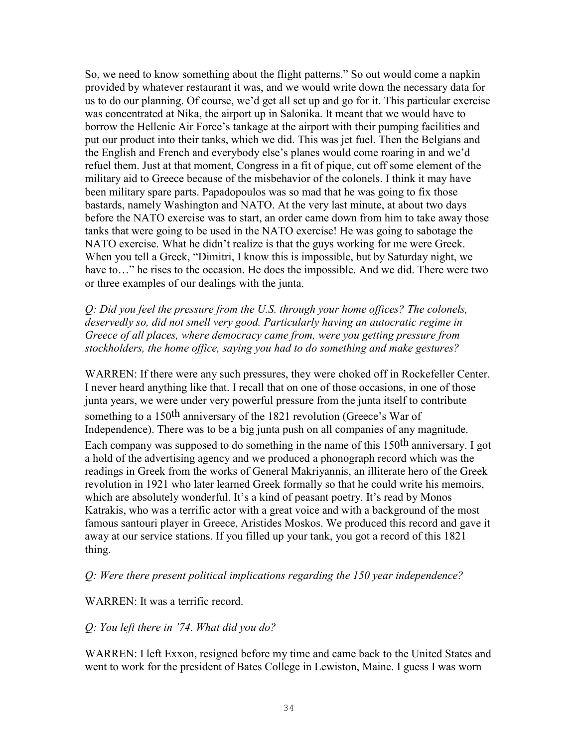So, we need to know something about the flight patterns." So out would come a napkin provided by whatever restaurant it was, and we would write down the necessary data for us to do our planning. Of course, we'd get all set up and go for it. This particular exercise was concentrated at Nika, the airport up in Salonika. It meant that we would have to borrow the Hellenic Air Force's tankage at the airport with their pumping facilities and put our product into their tanks, which we did. This was jet fuel. Then the Belgians and the English and French and everybody else's planes would come roaring in and we'd refuel them. Just at that moment, Congress in a fit of pique, cut off some element of the military aid to Greece because of the misbehavior of the colonels. I think it may have been military spare parts. Papadopoulos was so mad that he was going to fix those bastards, namely Washington and NATO. At the very last minute, at about two days before the NATO exercise was to start, an order came down from him to take away those tanks that were going to be used in the NATO exercise! He was going to sabotage the NATO exercise. What he didn't realize is that the guys working for me were Greek. When you tell a Greek, "Dimitri, I know this is impossible, but by Saturday night, we have to..." he rises to the occasion. He does the impossible. And we did. There were two or three examples of our dealings with the junta.

*Q: Did you feel the pressure from the U.S. through your home offices? The colonels, deservedly so, did not smell very good. Particularly having an autocratic regime in Greece of all places, where democracy came from, were you getting pressure from stockholders, the home office, saying you had to do something and make gestures?* 

WARREN: If there were any such pressures, they were choked off in Rockefeller Center. I never heard anything like that. I recall that on one of those occasions, in one of those junta years, we were under very powerful pressure from the junta itself to contribute something to a 150<sup>th</sup> anniversary of the 1821 revolution (Greece's War of Independence). There was to be a big junta push on all companies of any magnitude. Each company was supposed to do something in the name of this 150th anniversary. I got a hold of the advertising agency and we produced a phonograph record which was the readings in Greek from the works of General Makriyannis, an illiterate hero of the Greek revolution in 1921 who later learned Greek formally so that he could write his memoirs, which are absolutely wonderful. It's a kind of peasant poetry. It's read by Monos Katrakis, who was a terrific actor with a great voice and with a background of the most famous santouri player in Greece, Aristides Moskos. We produced this record and gave it away at our service stations. If you filled up your tank, you got a record of this 1821 thing.

#### *Q: Were there present political implications regarding the 150 year independence?*

#### WARREN: It was a terrific record.

#### *Q: You left there in '74. What did you do?*

WARREN: I left Exxon, resigned before my time and came back to the United States and went to work for the president of Bates College in Lewiston, Maine. I guess I was worn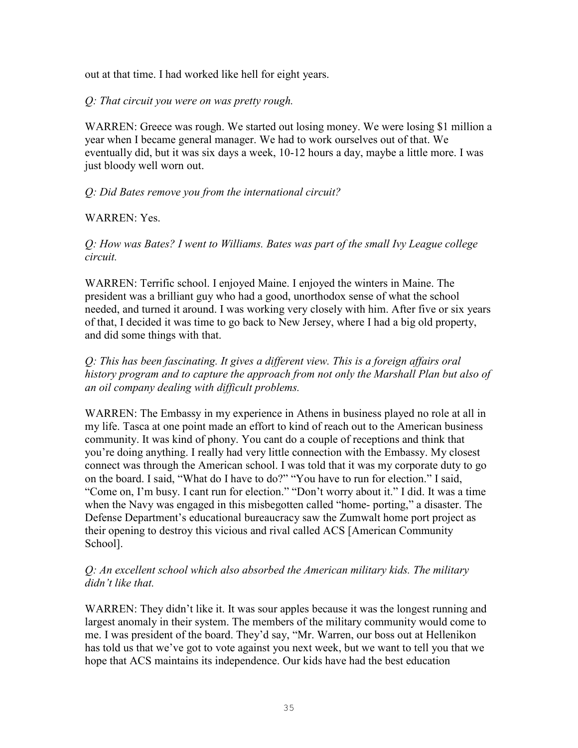out at that time. I had worked like hell for eight years.

*Q: That circuit you were on was pretty rough.*

WARREN: Greece was rough. We started out losing money. We were losing \$1 million a year when I became general manager. We had to work ourselves out of that. We eventually did, but it was six days a week, 10-12 hours a day, maybe a little more. I was just bloody well worn out.

# *Q: Did Bates remove you from the international circuit?*

# WARREN: Yes.

*Q: How was Bates? I went to Williams. Bates was part of the small Ivy League college circuit.* 

WARREN: Terrific school. I enjoyed Maine. I enjoyed the winters in Maine. The president was a brilliant guy who had a good, unorthodox sense of what the school needed, and turned it around. I was working very closely with him. After five or six years of that, I decided it was time to go back to New Jersey, where I had a big old property, and did some things with that.

*Q: This has been fascinating. It gives a different view. This is a foreign affairs oral history program and to capture the approach from not only the Marshall Plan but also of an oil company dealing with difficult problems.* 

WARREN: The Embassy in my experience in Athens in business played no role at all in my life. Tasca at one point made an effort to kind of reach out to the American business community. It was kind of phony. You cant do a couple of receptions and think that you're doing anything. I really had very little connection with the Embassy. My closest connect was through the American school. I was told that it was my corporate duty to go on the board. I said, "What do I have to do?" "You have to run for election." I said, "Come on, I'm busy. I cant run for election." "Don't worry about it." I did. It was a time when the Navy was engaged in this misbegotten called "home- porting," a disaster. The Defense Department's educational bureaucracy saw the Zumwalt home port project as their opening to destroy this vicious and rival called ACS [American Community School].

## *Q: An excellent school which also absorbed the American military kids. The military didn't like that.*

WARREN: They didn't like it. It was sour apples because it was the longest running and largest anomaly in their system. The members of the military community would come to me. I was president of the board. They'd say, "Mr. Warren, our boss out at Hellenikon has told us that we've got to vote against you next week, but we want to tell you that we hope that ACS maintains its independence. Our kids have had the best education